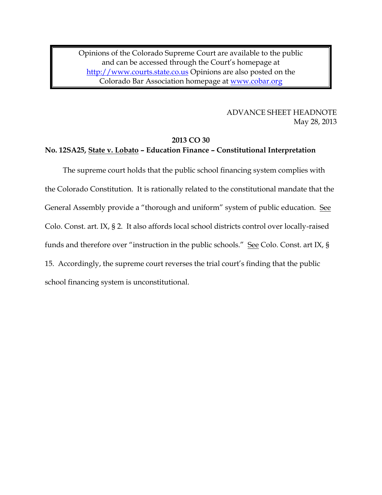Opinions of the Colorado Supreme Court are available to the public and can be accessed through the Court's homepage at [http://www.courts.state.co.us](http://www.courts.state.co.us/) Opinions are also posted on the Colorado Bar Association homepage at [www.cobar.org](http://www.cobar.org/)

> ADVANCE SHEET HEADNOTE May 28, 2013

#### **2013 CO 30**

## **No. 12SA25, State v. Lobato – Education Finance – Constitutional Interpretation**

The supreme court holds that the public school financing system complies with the Colorado Constitution. It is rationally related to the constitutional mandate that the General Assembly provide a "thorough and uniform" system of public education. See Colo. Const. art. IX, § 2. It also affords local school districts control over locally-raised funds and therefore over "instruction in the public schools." See Colo. Const. art IX, § 15. Accordingly, the supreme court reverses the trial court's finding that the public school financing system is unconstitutional.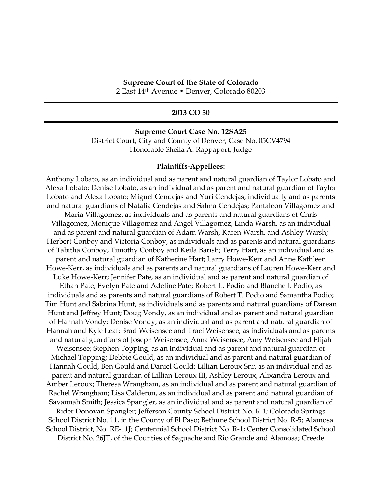#### **Supreme Court of the State of Colorado**

2 East 14th Avenue • Denver, Colorado 80203

#### **2013 CO 30**

#### **Supreme Court Case No. 12SA25**

District Court, City and County of Denver, Case No. 05CV4794 Honorable Sheila A. Rappaport, Judge

#### **Plaintiffs-Appellees:**

Anthony Lobato, as an individual and as parent and natural guardian of Taylor Lobato and Alexa Lobato; Denise Lobato, as an individual and as parent and natural guardian of Taylor Lobato and Alexa Lobato; Miguel Cendejas and Yuri Cendejas, individually and as parents and natural guardians of Natalia Cendejas and Salma Cendejas; Pantaleon Villagomez and Maria Villagomez, as individuals and as parents and natural guardians of Chris Villagomez, Monique Villagomez and Angel Villagomez; Linda Warsh, as an individual and as parent and natural guardian of Adam Warsh, Karen Warsh, and Ashley Warsh; Herbert Conboy and Victoria Conboy, as individuals and as parents and natural guardians of Tabitha Conboy, Timothy Conboy and Keila Barish; Terry Hart, as an individual and as parent and natural guardian of Katherine Hart; Larry Howe-Kerr and Anne Kathleen Howe-Kerr, as individuals and as parents and natural guardians of Lauren Howe-Kerr and Luke Howe-Kerr; Jennifer Pate, as an individual and as parent and natural guardian of Ethan Pate, Evelyn Pate and Adeline Pate; Robert L. Podio and Blanche J. Podio, as individuals and as parents and natural guardians of Robert T. Podio and Samantha Podio; Tim Hunt and Sabrina Hunt, as individuals and as parents and natural guardians of Darean Hunt and Jeffrey Hunt; Doug Vondy, as an individual and as parent and natural guardian of Hannah Vondy; Denise Vondy, as an individual and as parent and natural guardian of Hannah and Kyle Leaf; Brad Weisensee and Traci Weisensee, as individuals and as parents and natural guardians of Joseph Weisensee, Anna Weisensee, Amy Weisensee and Elijah Weisensee; Stephen Topping, as an individual and as parent and natural guardian of Michael Topping; Debbie Gould, as an individual and as parent and natural guardian of Hannah Gould, Ben Gould and Daniel Gould; Lillian Leroux Snr, as an individual and as parent and natural guardian of Lillian Leroux III, Ashley Leroux, Alixandra Leroux and Amber Leroux; Theresa Wrangham, as an individual and as parent and natural guardian of Rachel Wrangham; Lisa Calderon, as an individual and as parent and natural guardian of Savannah Smith; Jessica Spangler, as an individual and as parent and natural guardian of Rider Donovan Spangler; Jefferson County School District No. R-1; Colorado Springs School District No. 11, in the County of El Paso; Bethune School District No. R-5; Alamosa School District, No. RE-11J; Centennial School District No. R-1; Center Consolidated School District No. 26JT, of the Counties of Saguache and Rio Grande and Alamosa; Creede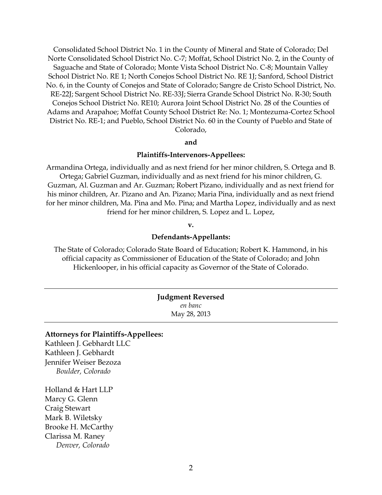Consolidated School District No. 1 in the County of Mineral and State of Colorado; Del Norte Consolidated School District No. C-7; Moffat, School District No. 2, in the County of Saguache and State of Colorado; Monte Vista School District No. C-8; Mountain Valley School District No. RE 1; North Conejos School District No. RE 1J; Sanford, School District No. 6, in the County of Conejos and State of Colorado; Sangre de Cristo School District, No. RE-22J; Sargent School District No. RE-33J; Sierra Grande School District No. R-30; South Conejos School District No. RE10; Aurora Joint School District No. 28 of the Counties of Adams and Arapahoe; Moffat County School District Re: No. 1; Montezuma-Cortez School District No. RE-1; and Pueblo, School District No. 60 in the County of Pueblo and State of Colorado,

#### **and**

#### **Plaintiffs-Intervenors-Appellees:**

Armandina Ortega, individually and as next friend for her minor children, S. Ortega and B. Ortega; Gabriel Guzman, individually and as next friend for his minor children, G. Guzman, Al. Guzman and Ar. Guzman; Robert Pizano, individually and as next friend for his minor children, Ar. Pizano and An. Pizano; Maria Pina, individually and as next friend for her minor children, Ma. Pina and Mo. Pina; and Martha Lopez, individually and as next friend for her minor children, S. Lopez and L. Lopez,

#### **v.**

#### **Defendants-Appellants:**

The State of Colorado; Colorado State Board of Education; Robert K. Hammond, in his official capacity as Commissioner of Education of the State of Colorado; and John Hickenlooper, in his official capacity as Governor of the State of Colorado.

# **Judgment Reversed** *en banc* May 28, 2013

## **Attorneys for Plaintiffs-Appellees:**

Kathleen J. Gebhardt LLC Kathleen J. Gebhardt Jennifer Weiser Bezoza *Boulder, Colorado*

Holland & Hart LLP Marcy G. Glenn Craig Stewart Mark B. Wiletsky Brooke H. McCarthy Clarissa M. Raney *Denver, Colorado*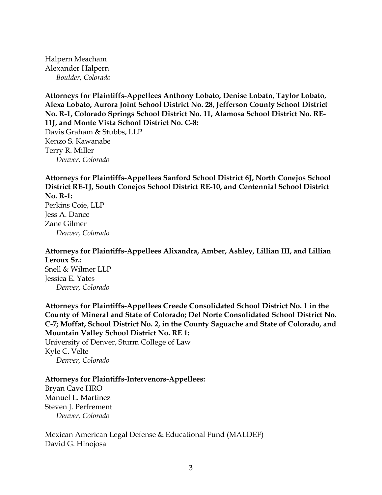Halpern Meacham Alexander Halpern *Boulder, Colorado*

**Attorneys for Plaintiffs-Appellees Anthony Lobato, Denise Lobato, Taylor Lobato, Alexa Lobato, Aurora Joint School District No. 28, Jefferson County School District No. R-1, Colorado Springs School District No. 11, Alamosa School District No. RE-11J, and Monte Vista School District No. C-8:**

Davis Graham & Stubbs, LLP Kenzo S. Kawanabe Terry R. Miller *Denver, Colorado*

**Attorneys for Plaintiffs-Appellees Sanford School District 6J, North Conejos School District RE-1J, South Conejos School District RE-10, and Centennial School District No. R-1:**

Perkins Coie, LLP Jess A. Dance Zane Gilmer *Denver, Colorado*

**Attorneys for Plaintiffs-Appellees Alixandra, Amber, Ashley, Lillian III, and Lillian Leroux Sr.:** Snell & Wilmer LLP

Jessica E. Yates *Denver, Colorado*

**Attorneys for Plaintiffs-Appellees Creede Consolidated School District No. 1 in the County of Mineral and State of Colorado; Del Norte Consolidated School District No. C-7; Moffat, School District No. 2, in the County Saguache and State of Colorado, and Mountain Valley School District No. RE 1:**

University of Denver, Sturm College of Law Kyle C. Velte *Denver, Colorado*

# **Attorneys for Plaintiffs-Intervenors-Appellees:**

Bryan Cave HRO Manuel L. Martinez Steven J. Perfrement *Denver, Colorado*

Mexican American Legal Defense & Educational Fund (MALDEF) David G. Hinojosa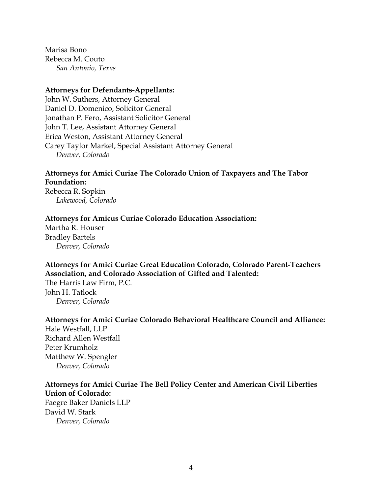Marisa Bono Rebecca M. Couto *San Antonio, Texas*

## **Attorneys for Defendants-Appellants:**

John W. Suthers, Attorney General Daniel D. Domenico, Solicitor General Jonathan P. Fero, Assistant Solicitor General John T. Lee, Assistant Attorney General Erica Weston, Assistant Attorney General Carey Taylor Markel, Special Assistant Attorney General *Denver, Colorado*

# **Attorneys for Amici Curiae The Colorado Union of Taxpayers and The Tabor Foundation:**

Rebecca R. Sopkin *Lakewood, Colorado*

## **Attorneys for Amicus Curiae Colorado Education Association:**

Martha R. Houser Bradley Bartels *Denver, Colorado*

# **Attorneys for Amici Curiae Great Education Colorado, Colorado Parent-Teachers Association, and Colorado Association of Gifted and Talented:**

The Harris Law Firm, P.C. John H. Tatlock *Denver, Colorado*

# **Attorneys for Amici Curiae Colorado Behavioral Healthcare Council and Alliance:**

Hale Westfall, LLP Richard Allen Westfall Peter Krumholz Matthew W. Spengler *Denver, Colorado*

# **Attorneys for Amici Curiae The Bell Policy Center and American Civil Liberties Union of Colorado:**

Faegre Baker Daniels LLP David W. Stark *Denver, Colorado*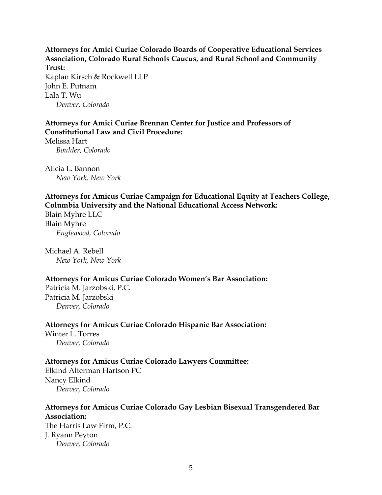**Attorneys for Amici Curiae Colorado Boards of Cooperative Educational Services Association, Colorado Rural Schools Caucus, and Rural School and Community Trust:** Kaplan Kirsch & Rockwell LLP John E. Putnam Lala T. Wu *Denver, Colorado*

# **Attorneys for Amici Curiae Brennan Center for Justice and Professors of Constitutional Law and Civil Procedure:**

Melissa Hart *Boulder, Colorado*

Alicia L. Bannon *New York, New York*

**Attorneys for Amicus Curiae Campaign for Educational Equity at Teachers College, Columbia University and the National Educational Access Network:**

Blain Myhre LLC Blain Myhre *Englewood, Colorado*

Michael A. Rebell *New York, New York*

# **Attorneys for Amicus Curiae Colorado Women's Bar Association:**

Patricia M. Jarzobski, P.C. Patricia M. Jarzobski *Denver, Colorado*

**Attorneys for Amicus Curiae Colorado Hispanic Bar Association:**

Winter L. Torres *Denver, Colorado*

# **Attorneys for Amicus Curiae Colorado Lawyers Committee:**

Elkind Alterman Hartson PC Nancy Elkind *Denver, Colorado*

# **Attorneys for Amicus Curiae Colorado Gay Lesbian Bisexual Transgendered Bar Association:**

The Harris Law Firm, P.C. J. Ryann Peyton *Denver, Colorado*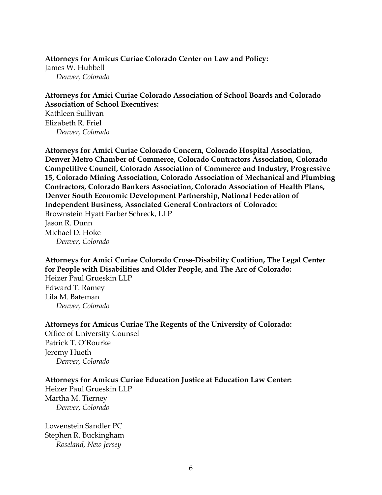**Attorneys for Amicus Curiae Colorado Center on Law and Policy:**

James W. Hubbell *Denver, Colorado*

**Attorneys for Amici Curiae Colorado Association of School Boards and Colorado Association of School Executives:**

Kathleen Sullivan Elizabeth R. Friel *Denver, Colorado*

**Attorneys for Amici Curiae Colorado Concern, Colorado Hospital Association, Denver Metro Chamber of Commerce, Colorado Contractors Association, Colorado Competitive Council, Colorado Association of Commerce and Industry, Progressive 15, Colorado Mining Association, Colorado Association of Mechanical and Plumbing Contractors, Colorado Bankers Association, Colorado Association of Health Plans, Denver South Economic Development Partnership, National Federation of Independent Business, Associated General Contractors of Colorado:** Brownstein Hyatt Farber Schreck, LLP Jason R. Dunn Michael D. Hoke *Denver, Colorado*

**Attorneys for Amici Curiae Colorado Cross-Disability Coalition, The Legal Center for People with Disabilities and Older People, and The Arc of Colorado:**

Heizer Paul Grueskin LLP Edward T. Ramey Lila M. Bateman *Denver, Colorado*

**Attorneys for Amicus Curiae The Regents of the University of Colorado:** Office of University Counsel

Patrick T. O'Rourke Jeremy Hueth *Denver, Colorado*

# **Attorneys for Amicus Curiae Education Justice at Education Law Center:**

Heizer Paul Grueskin LLP Martha M. Tierney *Denver, Colorado*

Lowenstein Sandler PC Stephen R. Buckingham *Roseland, New Jersey*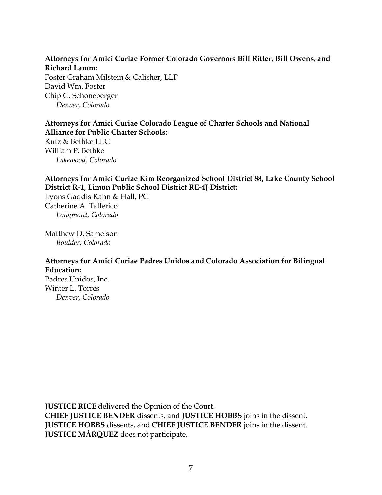# **Attorneys for Amici Curiae Former Colorado Governors Bill Ritter, Bill Owens, and Richard Lamm:**

Foster Graham Milstein & Calisher, LLP David Wm. Foster Chip G. Schoneberger *Denver, Colorado*

**Attorneys for Amici Curiae Colorado League of Charter Schools and National Alliance for Public Charter Schools:** Kutz & Bethke LLC William P. Bethke *Lakewood, Colorado*

**Attorneys for Amici Curiae Kim Reorganized School District 88, Lake County School District R-1, Limon Public School District RE-4J District:**

Lyons Gaddis Kahn & Hall, PC Catherine A. Tallerico *Longmont, Colorado*

Matthew D. Samelson *Boulder, Colorado*

# **Attorneys for Amici Curiae Padres Unidos and Colorado Association for Bilingual Education:**

Padres Unidos, Inc. Winter L. Torres *Denver, Colorado*

**JUSTICE RICE** delivered the Opinion of the Court.

**CHIEF JUSTICE BENDER** dissents, and **JUSTICE HOBBS** joins in the dissent. **JUSTICE HOBBS** dissents, and **CHIEF JUSTICE BENDER** joins in the dissent. **JUSTICE MÁRQUEZ** does not participate.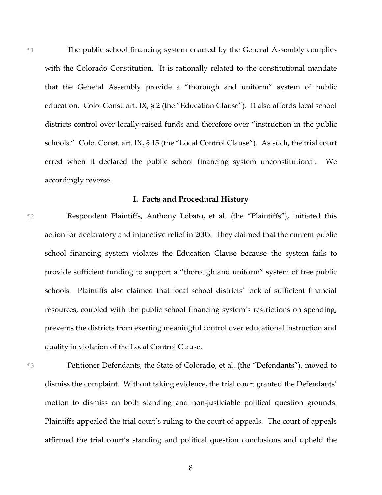¶1 The public school financing system enacted by the General Assembly complies with the Colorado Constitution. It is rationally related to the constitutional mandate that the General Assembly provide a "thorough and uniform" system of public education. Colo. Const. art. IX, § 2 (the "Education Clause"). It also affords local school districts control over locally-raised funds and therefore over "instruction in the public schools." Colo. Const. art. IX, § 15 (the "Local Control Clause"). As such, the trial court erred when it declared the public school financing system unconstitutional. We accordingly reverse.

## **I. Facts and Procedural History**

¶2 Respondent Plaintiffs, Anthony Lobato, et al. (the "Plaintiffs"), initiated this action for declaratory and injunctive relief in 2005. They claimed that the current public school financing system violates the Education Clause because the system fails to provide sufficient funding to support a "thorough and uniform" system of free public schools. Plaintiffs also claimed that local school districts' lack of sufficient financial resources, coupled with the public school financing system's restrictions on spending, prevents the districts from exerting meaningful control over educational instruction and quality in violation of the Local Control Clause.

¶3 Petitioner Defendants, the State of Colorado, et al. (the "Defendants"), moved to dismiss the complaint. Without taking evidence, the trial court granted the Defendants' motion to dismiss on both standing and non-justiciable political question grounds. Plaintiffs appealed the trial court's ruling to the court of appeals. The court of appeals affirmed the trial court's standing and political question conclusions and upheld the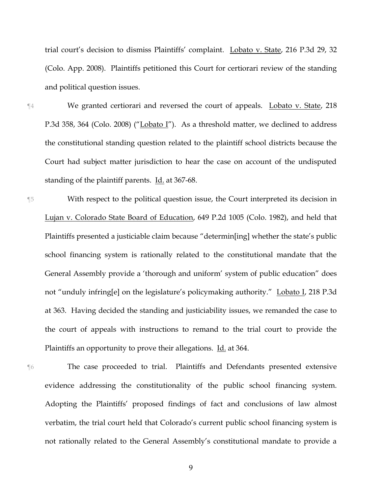trial court's decision to dismiss Plaintiffs' complaint. Lobato v. State, 216 P.3d 29, 32 (Colo. App. 2008). Plaintiffs petitioned this Court for certiorari review of the standing and political question issues.

¶4 We granted certiorari and reversed the court of appeals. Lobato v. State, 218 P.3d 358, 364 (Colo. 2008) ("Lobato I"). As a threshold matter, we declined to address the constitutional standing question related to the plaintiff school districts because the Court had subject matter jurisdiction to hear the case on account of the undisputed standing of the plaintiff parents. Id. at 367-68.

¶5 With respect to the political question issue, the Court interpreted its decision in Lujan v. Colorado State Board of Education, 649 P.2d 1005 (Colo. 1982), and held that Plaintiffs presented a justiciable claim because "determin[ing] whether the state's public school financing system is rationally related to the constitutional mandate that the General Assembly provide a 'thorough and uniform' system of public education" does not "unduly infring[e] on the legislature's policymaking authority." Lobato I, 218 P.3d at 363. Having decided the standing and justiciability issues, we remanded the case to the court of appeals with instructions to remand to the trial court to provide the Plaintiffs an opportunity to prove their allegations. Id. at 364.

¶6 The case proceeded to trial. Plaintiffs and Defendants presented extensive evidence addressing the constitutionality of the public school financing system. Adopting the Plaintiffs' proposed findings of fact and conclusions of law almost verbatim, the trial court held that Colorado's current public school financing system is not rationally related to the General Assembly's constitutional mandate to provide a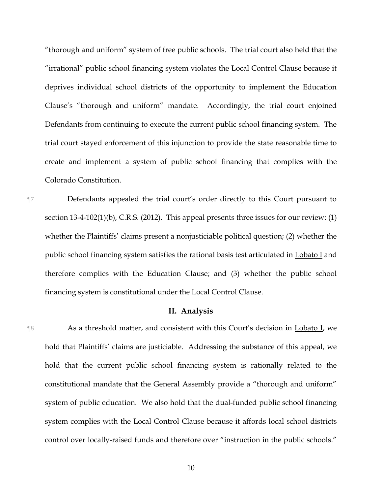"thorough and uniform" system of free public schools. The trial court also held that the "irrational" public school financing system violates the Local Control Clause because it deprives individual school districts of the opportunity to implement the Education Clause's "thorough and uniform" mandate. Accordingly, the trial court enjoined Defendants from continuing to execute the current public school financing system. The trial court stayed enforcement of this injunction to provide the state reasonable time to create and implement a system of public school financing that complies with the Colorado Constitution.

¶7 Defendants appealed the trial court's order directly to this Court pursuant to section 13-4-102(1)(b), C.R.S. (2012). This appeal presents three issues for our review: (1) whether the Plaintiffs' claims present a nonjusticiable political question; (2) whether the public school financing system satisfies the rational basis test articulated in Lobato I and therefore complies with the Education Clause; and (3) whether the public school financing system is constitutional under the Local Control Clause.

# **II. Analysis**

¶8 As a threshold matter, and consistent with this Court's decision in Lobato I, we hold that Plaintiffs' claims are justiciable. Addressing the substance of this appeal, we hold that the current public school financing system is rationally related to the constitutional mandate that the General Assembly provide a "thorough and uniform" system of public education. We also hold that the dual-funded public school financing system complies with the Local Control Clause because it affords local school districts control over locally-raised funds and therefore over "instruction in the public schools."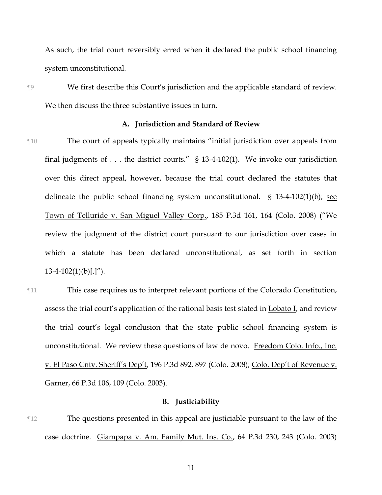As such, the trial court reversibly erred when it declared the public school financing system unconstitutional.

¶9 We first describe this Court's jurisdiction and the applicable standard of review. We then discuss the three substantive issues in turn.

## **A. Jurisdiction and Standard of Review**

- ¶10 The court of appeals typically maintains "initial jurisdiction over appeals from final judgments of . . . the district courts." § 13-4-102(1). We invoke our jurisdiction over this direct appeal, however, because the trial court declared the statutes that delineate the public school financing system unconstitutional. § 13-4-102(1)(b); see Town of Telluride v. San Miguel Valley Corp., 185 P.3d 161, 164 (Colo. 2008) ("We review the judgment of the district court pursuant to our jurisdiction over cases in which a statute has been declared unconstitutional, as set forth in section  $13-4-102(1)(b)$ [.]").
- ¶11 This case requires us to interpret relevant portions of the Colorado Constitution, assess the trial court's application of the rational basis test stated in Lobato I, and review the trial court's legal conclusion that the state public school financing system is unconstitutional. We review these questions of law de novo. Freedom Colo. Info., Inc. v. El Paso Cnty. Sheriff's Dep't, 196 P.3d 892, 897 (Colo. 2008); Colo. Dep't of Revenue v. Garner, 66 P.3d 106, 109 (Colo. 2003).

# **B. Justiciability**

¶12 The questions presented in this appeal are justiciable pursuant to the law of the case doctrine. Giampapa v. Am. Family Mut. Ins. Co., 64 P.3d 230, 243 (Colo. 2003)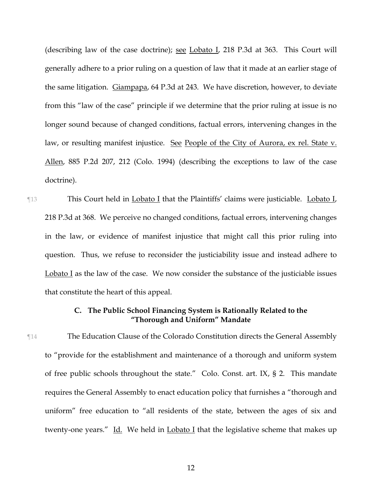(describing law of the case doctrine); see Lobato I, 218 P.3d at 363. This Court will generally adhere to a prior ruling on a question of law that it made at an earlier stage of the same litigation. Giampapa, 64 P.3d at 243. We have discretion, however, to deviate from this "law of the case" principle if we determine that the prior ruling at issue is no longer sound because of changed conditions, factual errors, intervening changes in the law, or resulting manifest injustice. See People of the City of Aurora, ex rel. State v. Allen, 885 P.2d 207, 212 (Colo. 1994) (describing the exceptions to law of the case doctrine).

**This Court held in Lobato I that the Plaintiffs' claims were justiciable.** Lobato I, 218 P.3d at 368. We perceive no changed conditions, factual errors, intervening changes in the law, or evidence of manifest injustice that might call this prior ruling into question. Thus, we refuse to reconsider the justiciability issue and instead adhere to Lobato I as the law of the case. We now consider the substance of the justiciable issues that constitute the heart of this appeal.

# **C. The Public School Financing System is Rationally Related to the "Thorough and Uniform" Mandate**

¶14 The Education Clause of the Colorado Constitution directs the General Assembly to "provide for the establishment and maintenance of a thorough and uniform system of free public schools throughout the state." Colo. Const. art. IX, § 2. This mandate requires the General Assembly to enact education policy that furnishes a "thorough and uniform" free education to "all residents of the state, between the ages of six and twenty-one years." Id. We held in Lobato I that the legislative scheme that makes up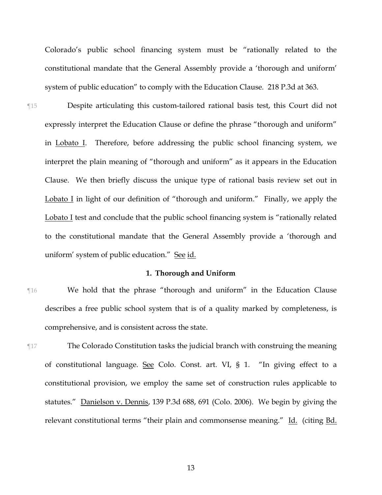Colorado's public school financing system must be "rationally related to the constitutional mandate that the General Assembly provide a 'thorough and uniform' system of public education" to comply with the Education Clause. 218 P.3d at 363.

¶15 Despite articulating this custom-tailored rational basis test, this Court did not expressly interpret the Education Clause or define the phrase "thorough and uniform" in Lobato I. Therefore, before addressing the public school financing system, we interpret the plain meaning of "thorough and uniform" as it appears in the Education Clause. We then briefly discuss the unique type of rational basis review set out in Lobato I in light of our definition of "thorough and uniform." Finally, we apply the Lobato I test and conclude that the public school financing system is "rationally related to the constitutional mandate that the General Assembly provide a 'thorough and uniform' system of public education." See id.

## **1. Thorough and Uniform**

- ¶16 We hold that the phrase "thorough and uniform" in the Education Clause describes a free public school system that is of a quality marked by completeness, is comprehensive, and is consistent across the state.
- ¶17 The Colorado Constitution tasks the judicial branch with construing the meaning of constitutional language. See Colo. Const. art. VI, § 1. "In giving effect to a constitutional provision, we employ the same set of construction rules applicable to statutes." Danielson v. Dennis, 139 P.3d 688, 691 (Colo. 2006). We begin by giving the relevant constitutional terms "their plain and commonsense meaning." Id. (citing Bd.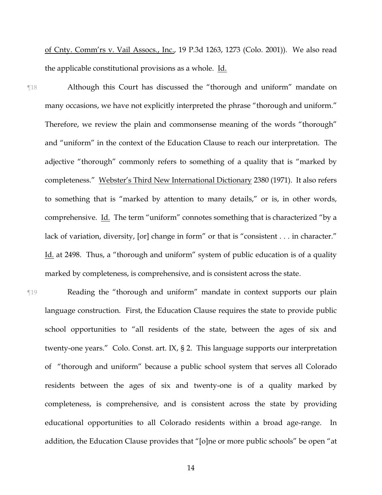of Cnty. Comm'rs v. Vail Assocs., Inc., 19 P.3d 1263, 1273 (Colo. 2001)). We also read the applicable constitutional provisions as a whole. Id.

- ¶18 Although this Court has discussed the "thorough and uniform" mandate on many occasions, we have not explicitly interpreted the phrase "thorough and uniform." Therefore, we review the plain and commonsense meaning of the words "thorough" and "uniform" in the context of the Education Clause to reach our interpretation. The adjective "thorough" commonly refers to something of a quality that is "marked by completeness." Webster's Third New International Dictionary 2380 (1971). It also refers to something that is "marked by attention to many details," or is, in other words, comprehensive. Id. The term "uniform" connotes something that is characterized "by a lack of variation, diversity, [or] change in form" or that is "consistent . . . in character." Id. at 2498. Thus, a "thorough and uniform" system of public education is of a quality marked by completeness, is comprehensive, and is consistent across the state.
- ¶19 Reading the "thorough and uniform" mandate in context supports our plain language construction. First, the Education Clause requires the state to provide public school opportunities to "all residents of the state, between the ages of six and twenty-one years." Colo. Const. art. IX, § 2. This language supports our interpretation of "thorough and uniform" because a public school system that serves all Colorado residents between the ages of six and twenty-one is of a quality marked by completeness, is comprehensive, and is consistent across the state by providing educational opportunities to all Colorado residents within a broad age-range. In addition, the Education Clause provides that "[o]ne or more public schools" be open "at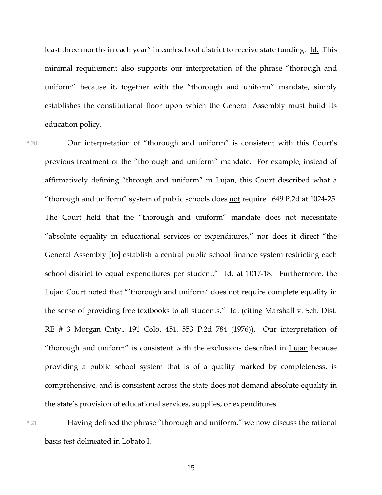least three months in each year" in each school district to receive state funding. Id. This minimal requirement also supports our interpretation of the phrase "thorough and uniform" because it, together with the "thorough and uniform" mandate, simply establishes the constitutional floor upon which the General Assembly must build its education policy.

¶20 Our interpretation of "thorough and uniform" is consistent with this Court's previous treatment of the "thorough and uniform" mandate. For example, instead of affirmatively defining "through and uniform" in Lujan, this Court described what a "thorough and uniform" system of public schools does not require. 649 P.2d at 1024-25. The Court held that the "thorough and uniform" mandate does not necessitate "absolute equality in educational services or expenditures," nor does it direct "the General Assembly [to] establish a central public school finance system restricting each school district to equal expenditures per student." Id. at 1017-18. Furthermore, the Lujan Court noted that "'thorough and uniform' does not require complete equality in the sense of providing free textbooks to all students." Id. (citing Marshall v. Sch. Dist. RE # 3 Morgan Cnty., 191 Colo. 451, 553 P.2d 784 (1976)). Our interpretation of "thorough and uniform" is consistent with the exclusions described in Lujan because providing a public school system that is of a quality marked by completeness, is comprehensive, and is consistent across the state does not demand absolute equality in the state's provision of educational services, supplies, or expenditures.

¶21 Having defined the phrase "thorough and uniform," we now discuss the rational basis test delineated in Lobato I.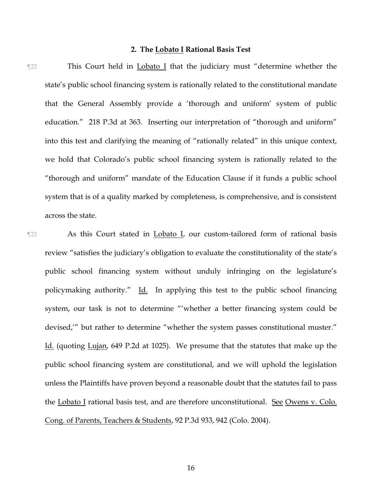## **2. The Lobato I Rational Basis Test**

¶22 This Court held in Lobato I that the judiciary must "determine whether the state's public school financing system is rationally related to the constitutional mandate that the General Assembly provide a 'thorough and uniform' system of public education." 218 P.3d at 363. Inserting our interpretation of "thorough and uniform" into this test and clarifying the meaning of "rationally related" in this unique context, we hold that Colorado's public school financing system is rationally related to the "thorough and uniform" mandate of the Education Clause if it funds a public school system that is of a quality marked by completeness, is comprehensive, and is consistent across the state.

¶23 As this Court stated in Lobato I, our custom-tailored form of rational basis review "satisfies the judiciary's obligation to evaluate the constitutionality of the state's public school financing system without unduly infringing on the legislature's policymaking authority." Id. In applying this test to the public school financing system, our task is not to determine "'whether a better financing system could be devised,'" but rather to determine "whether the system passes constitutional muster." Id. (quoting Lujan, 649 P.2d at 1025). We presume that the statutes that make up the public school financing system are constitutional, and we will uphold the legislation unless the Plaintiffs have proven beyond a reasonable doubt that the statutes fail to pass the Lobato I rational basis test, and are therefore unconstitutional. See Owens v. Colo. Cong. of Parents, Teachers & Students, 92 P.3d 933, 942 (Colo. 2004).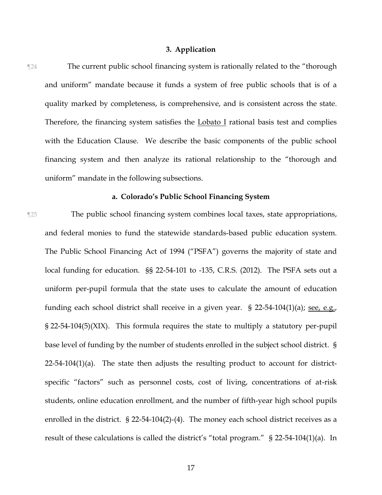# **3. Application**

¶24 The current public school financing system is rationally related to the "thorough and uniform" mandate because it funds a system of free public schools that is of a quality marked by completeness, is comprehensive, and is consistent across the state. Therefore, the financing system satisfies the Lobato I rational basis test and complies with the Education Clause. We describe the basic components of the public school financing system and then analyze its rational relationship to the "thorough and uniform" mandate in the following subsections.

## **a. Colorado's Public School Financing System**

¶25 The public school financing system combines local taxes, state appropriations, and federal monies to fund the statewide standards-based public education system. The Public School Financing Act of 1994 ("PSFA") governs the majority of state and local funding for education. §§ 22-54-101 to -135, C.R.S. (2012). The PSFA sets out a uniform per-pupil formula that the state uses to calculate the amount of education funding each school district shall receive in a given year. § 22-54-104(1)(a); see, e.g., § 22-54-104(5)(XIX). This formula requires the state to multiply a statutory per-pupil base level of funding by the number of students enrolled in the subject school district. § 22-54-104(1)(a). The state then adjusts the resulting product to account for districtspecific "factors" such as personnel costs, cost of living, concentrations of at-risk students, online education enrollment, and the number of fifth-year high school pupils enrolled in the district. § 22-54-104(2)-(4). The money each school district receives as a result of these calculations is called the district's "total program." § 22-54-104(1)(a). In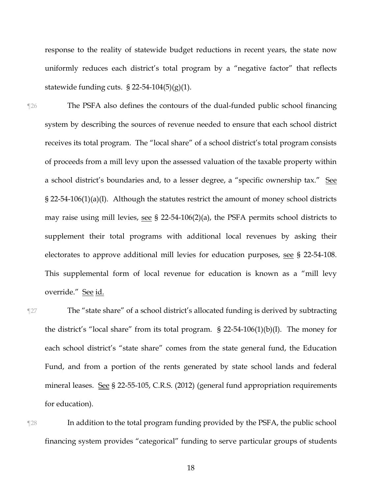response to the reality of statewide budget reductions in recent years, the state now uniformly reduces each district's total program by a "negative factor" that reflects statewide funding cuts.  $\S$  22-54-104(5)(g)(1).

¶26 The PSFA also defines the contours of the dual-funded public school financing system by describing the sources of revenue needed to ensure that each school district receives its total program. The "local share" of a school district's total program consists of proceeds from a mill levy upon the assessed valuation of the taxable property within a school district's boundaries and, to a lesser degree, a "specific ownership tax." See § 22-54-106(1)(a)(I). Although the statutes restrict the amount of money school districts may raise using mill levies, see § 22-54-106(2)(a), the PSFA permits school districts to supplement their total programs with additional local revenues by asking their electorates to approve additional mill levies for education purposes, see § 22-54-108. This supplemental form of local revenue for education is known as a "mill levy override." See id.

¶27 The "state share" of a school district's allocated funding is derived by subtracting the district's "local share" from its total program.  $\S 22-54-106(1)(b)(I)$ . The money for each school district's "state share" comes from the state general fund, the Education Fund, and from a portion of the rents generated by state school lands and federal mineral leases. See § 22-55-105, C.R.S. (2012) (general fund appropriation requirements for education).

# ¶28 In addition to the total program funding provided by the PSFA, the public school financing system provides "categorical" funding to serve particular groups of students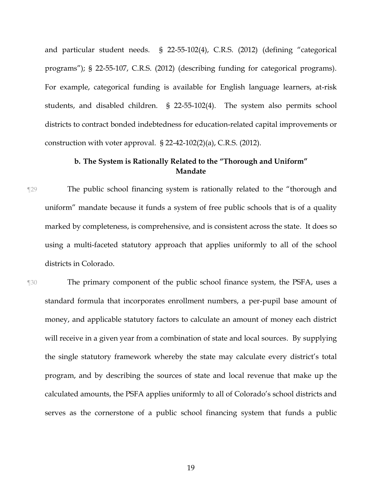and particular student needs. § 22-55-102(4), C.R.S. (2012) (defining "categorical programs"); § 22-55-107, C.R.S. (2012) (describing funding for categorical programs). For example, categorical funding is available for English language learners, at-risk students, and disabled children. § 22-55-102(4). The system also permits school districts to contract bonded indebtedness for education-related capital improvements or construction with voter approval. § 22-42-102(2)(a), C.R.S. (2012).

# **b. The System is Rationally Related to the "Thorough and Uniform" Mandate**

- ¶29 The public school financing system is rationally related to the "thorough and uniform" mandate because it funds a system of free public schools that is of a quality marked by completeness, is comprehensive, and is consistent across the state. It does so using a multi-faceted statutory approach that applies uniformly to all of the school districts in Colorado.
- ¶30 The primary component of the public school finance system, the PSFA, uses a standard formula that incorporates enrollment numbers, a per-pupil base amount of money, and applicable statutory factors to calculate an amount of money each district will receive in a given year from a combination of state and local sources. By supplying the single statutory framework whereby the state may calculate every district's total program, and by describing the sources of state and local revenue that make up the calculated amounts, the PSFA applies uniformly to all of Colorado's school districts and serves as the cornerstone of a public school financing system that funds a public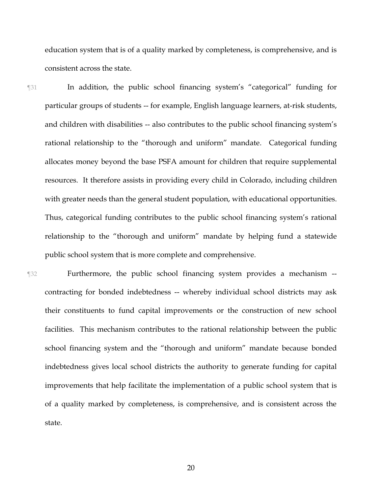education system that is of a quality marked by completeness, is comprehensive, and is consistent across the state.

¶31 In addition, the public school financing system's "categorical" funding for particular groups of students -- for example, English language learners, at-risk students, and children with disabilities -- also contributes to the public school financing system's rational relationship to the "thorough and uniform" mandate. Categorical funding allocates money beyond the base PSFA amount for children that require supplemental resources. It therefore assists in providing every child in Colorado, including children with greater needs than the general student population, with educational opportunities. Thus, categorical funding contributes to the public school financing system's rational relationship to the "thorough and uniform" mandate by helping fund a statewide public school system that is more complete and comprehensive.

¶32 Furthermore, the public school financing system provides a mechanism - contracting for bonded indebtedness -- whereby individual school districts may ask their constituents to fund capital improvements or the construction of new school facilities. This mechanism contributes to the rational relationship between the public school financing system and the "thorough and uniform" mandate because bonded indebtedness gives local school districts the authority to generate funding for capital improvements that help facilitate the implementation of a public school system that is of a quality marked by completeness, is comprehensive, and is consistent across the state.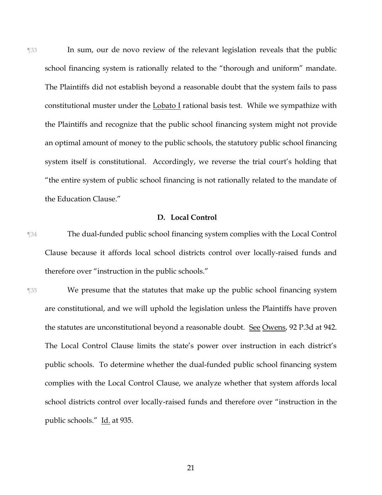¶33 In sum, our de novo review of the relevant legislation reveals that the public school financing system is rationally related to the "thorough and uniform" mandate. The Plaintiffs did not establish beyond a reasonable doubt that the system fails to pass constitutional muster under the Lobato I rational basis test. While we sympathize with the Plaintiffs and recognize that the public school financing system might not provide an optimal amount of money to the public schools, the statutory public school financing system itself is constitutional. Accordingly, we reverse the trial court's holding that "the entire system of public school financing is not rationally related to the mandate of the Education Clause."

# **D. Local Control**

- ¶34 The dual-funded public school financing system complies with the Local Control Clause because it affords local school districts control over locally-raised funds and therefore over "instruction in the public schools."
- ¶35 We presume that the statutes that make up the public school financing system are constitutional, and we will uphold the legislation unless the Plaintiffs have proven the statutes are unconstitutional beyond a reasonable doubt. See Owens, 92 P.3d at 942. The Local Control Clause limits the state's power over instruction in each district's public schools. To determine whether the dual-funded public school financing system complies with the Local Control Clause, we analyze whether that system affords local school districts control over locally-raised funds and therefore over "instruction in the public schools." Id. at 935.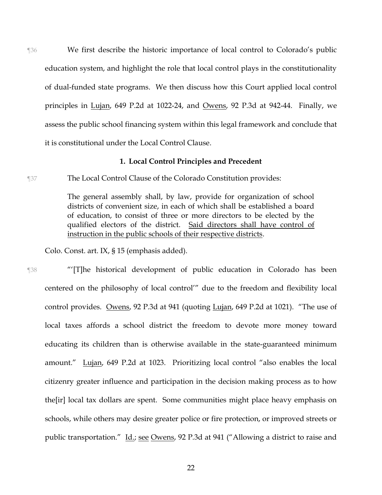¶36 We first describe the historic importance of local control to Colorado's public education system, and highlight the role that local control plays in the constitutionality of dual-funded state programs. We then discuss how this Court applied local control principles in Lujan, 649 P.2d at 1022-24, and Owens, 92 P.3d at 942-44. Finally, we assess the public school financing system within this legal framework and conclude that it is constitutional under the Local Control Clause.

# **1. Local Control Principles and Precedent**

¶37 The Local Control Clause of the Colorado Constitution provides:

The general assembly shall, by law, provide for organization of school districts of convenient size, in each of which shall be established a board of education, to consist of three or more directors to be elected by the qualified electors of the district. Said directors shall have control of instruction in the public schools of their respective districts.

Colo. Const. art. IX, § 15 (emphasis added).

¶38 "'[T]he historical development of public education in Colorado has been centered on the philosophy of local control'" due to the freedom and flexibility local control provides. Owens, 92 P.3d at 941 (quoting Lujan, 649 P.2d at 1021). "The use of local taxes affords a school district the freedom to devote more money toward educating its children than is otherwise available in the state-guaranteed minimum amount." Lujan, 649 P.2d at 1023. Prioritizing local control "also enables the local citizenry greater influence and participation in the decision making process as to how the[ir] local tax dollars are spent. Some communities might place heavy emphasis on schools, while others may desire greater police or fire protection, or improved streets or public transportation." Id.; see Owens, 92 P.3d at 941 ("Allowing a district to raise and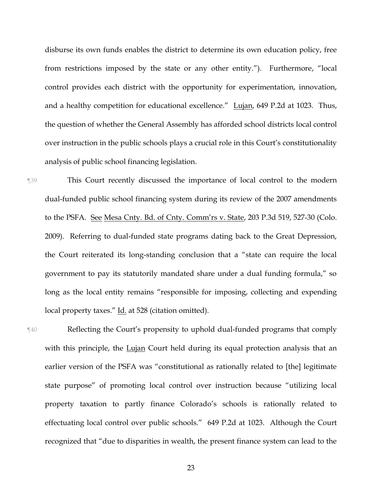disburse its own funds enables the district to determine its own education policy, free from restrictions imposed by the state or any other entity."). Furthermore, "local control provides each district with the opportunity for experimentation, innovation, and a healthy competition for educational excellence." Lujan, 649 P.2d at 1023. Thus, the question of whether the General Assembly has afforded school districts local control over instruction in the public schools plays a crucial role in this Court's constitutionality analysis of public school financing legislation.

¶39 This Court recently discussed the importance of local control to the modern dual-funded public school financing system during its review of the 2007 amendments to the PSFA. See Mesa Cnty. Bd. of Cnty. Comm'rs v. State, 203 P.3d 519, 527-30 (Colo. 2009). Referring to dual-funded state programs dating back to the Great Depression, the Court reiterated its long-standing conclusion that a "state can require the local government to pay its statutorily mandated share under a dual funding formula," so long as the local entity remains "responsible for imposing, collecting and expending local property taxes." Id. at 528 (citation omitted).

¶40 Reflecting the Court's propensity to uphold dual-funded programs that comply with this principle, the Lujan Court held during its equal protection analysis that an earlier version of the PSFA was "constitutional as rationally related to [the] legitimate state purpose" of promoting local control over instruction because "utilizing local property taxation to partly finance Colorado's schools is rationally related to effectuating local control over public schools." 649 P.2d at 1023. Although the Court recognized that "due to disparities in wealth, the present finance system can lead to the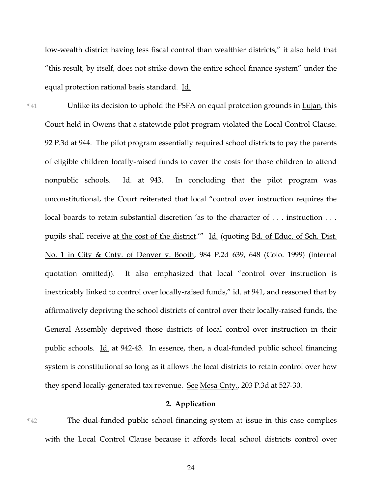low-wealth district having less fiscal control than wealthier districts," it also held that "this result, by itself, does not strike down the entire school finance system" under the equal protection rational basis standard. Id.

¶41 Unlike its decision to uphold the PSFA on equal protection grounds in Lujan, this Court held in Owens that a statewide pilot program violated the Local Control Clause. 92 P.3d at 944. The pilot program essentially required school districts to pay the parents of eligible children locally-raised funds to cover the costs for those children to attend nonpublic schools. Id. at 943. In concluding that the pilot program was unconstitutional, the Court reiterated that local "control over instruction requires the local boards to retain substantial discretion 'as to the character of . . . instruction . . . pupils shall receive at the cost of the district.'" Id. (quoting Bd. of Educ. of Sch. Dist. No. 1 in City & Cnty. of Denver v. Booth, 984 P.2d 639, 648 (Colo. 1999) (internal quotation omitted)). It also emphasized that local "control over instruction is inextricably linked to control over locally-raised funds," id. at 941, and reasoned that by affirmatively depriving the school districts of control over their locally-raised funds, the General Assembly deprived those districts of local control over instruction in their public schools. Id. at 942-43. In essence, then, a dual-funded public school financing system is constitutional so long as it allows the local districts to retain control over how they spend locally-generated tax revenue. See Mesa Cnty., 203 P.3d at 527-30.

# **2. Application**

¶42 The dual-funded public school financing system at issue in this case complies with the Local Control Clause because it affords local school districts control over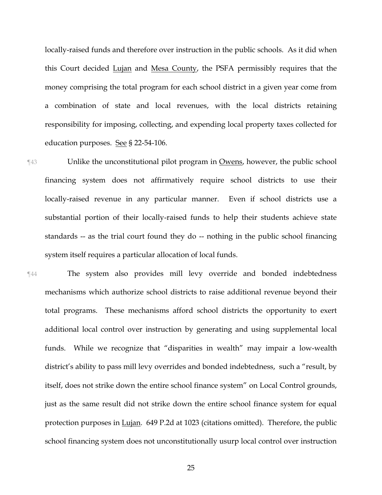locally-raised funds and therefore over instruction in the public schools. As it did when this Court decided Lujan and Mesa County, the PSFA permissibly requires that the money comprising the total program for each school district in a given year come from a combination of state and local revenues, with the local districts retaining responsibility for imposing, collecting, and expending local property taxes collected for education purposes. See § 22-54-106.

- ¶43 Unlike the unconstitutional pilot program in Owens, however, the public school financing system does not affirmatively require school districts to use their locally-raised revenue in any particular manner. Even if school districts use a substantial portion of their locally-raised funds to help their students achieve state standards -- as the trial court found they do -- nothing in the public school financing system itself requires a particular allocation of local funds.
- ¶44 The system also provides mill levy override and bonded indebtedness mechanisms which authorize school districts to raise additional revenue beyond their total programs. These mechanisms afford school districts the opportunity to exert additional local control over instruction by generating and using supplemental local funds. While we recognize that "disparities in wealth" may impair a low-wealth district's ability to pass mill levy overrides and bonded indebtedness, such a "result, by itself, does not strike down the entire school finance system" on Local Control grounds, just as the same result did not strike down the entire school finance system for equal protection purposes in Lujan. 649 P.2d at 1023 (citations omitted). Therefore, the public school financing system does not unconstitutionally usurp local control over instruction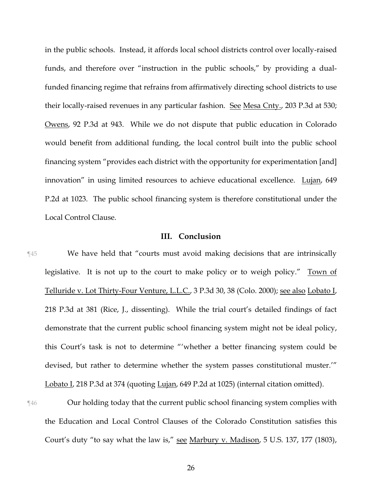in the public schools. Instead, it affords local school districts control over locally-raised funds, and therefore over "instruction in the public schools," by providing a dualfunded financing regime that refrains from affirmatively directing school districts to use their locally-raised revenues in any particular fashion. See Mesa Cnty., 203 P.3d at 530; Owens, 92 P.3d at 943. While we do not dispute that public education in Colorado would benefit from additional funding, the local control built into the public school financing system "provides each district with the opportunity for experimentation [and] innovation" in using limited resources to achieve educational excellence. Lujan, 649 P.2d at 1023. The public school financing system is therefore constitutional under the Local Control Clause.

# **III. Conclusion**

¶45 We have held that "courts must avoid making decisions that are intrinsically legislative. It is not up to the court to make policy or to weigh policy." Town of Telluride v. Lot Thirty-Four Venture, L.L.C., 3 P.3d 30, 38 (Colo. 2000); see also Lobato I, 218 P.3d at 381 (Rice, J., dissenting). While the trial court's detailed findings of fact demonstrate that the current public school financing system might not be ideal policy, this Court's task is not to determine "'whether a better financing system could be devised, but rather to determine whether the system passes constitutional muster.'" Lobato I, 218 P.3d at 374 (quoting Lujan, 649 P.2d at 1025) (internal citation omitted).

¶46 Our holding today that the current public school financing system complies with the Education and Local Control Clauses of the Colorado Constitution satisfies this Court's duty "to say what the law is," see Marbury v. Madison, 5 U.S. 137, 177 (1803),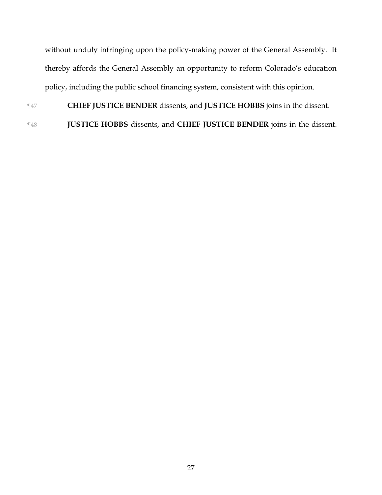without unduly infringing upon the policy-making power of the General Assembly. It thereby affords the General Assembly an opportunity to reform Colorado's education policy, including the public school financing system, consistent with this opinion.

¶47 **CHIEF JUSTICE BENDER** dissents, and **JUSTICE HOBBS** joins in the dissent.

¶48 **JUSTICE HOBBS** dissents, and **CHIEF JUSTICE BENDER** joins in the dissent.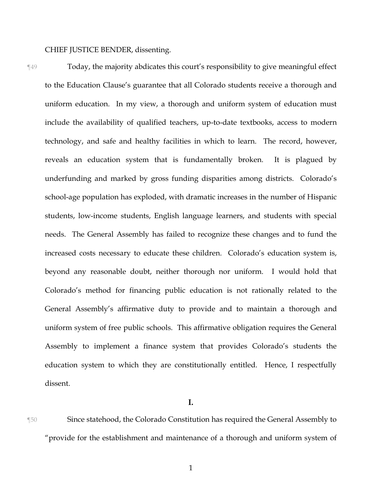## CHIEF JUSTICE BENDER, dissenting.

¶49 Today, the majority abdicates this court's responsibility to give meaningful effect to the Education Clause's guarantee that all Colorado students receive a thorough and uniform education. In my view, a thorough and uniform system of education must include the availability of qualified teachers, up-to-date textbooks, access to modern technology, and safe and healthy facilities in which to learn. The record, however, reveals an education system that is fundamentally broken. It is plagued by underfunding and marked by gross funding disparities among districts. Colorado's school-age population has exploded, with dramatic increases in the number of Hispanic students, low-income students, English language learners, and students with special needs. The General Assembly has failed to recognize these changes and to fund the increased costs necessary to educate these children. Colorado's education system is, beyond any reasonable doubt, neither thorough nor uniform. I would hold that Colorado's method for financing public education is not rationally related to the General Assembly's affirmative duty to provide and to maintain a thorough and uniform system of free public schools. This affirmative obligation requires the General Assembly to implement a finance system that provides Colorado's students the education system to which they are constitutionally entitled. Hence, I respectfully dissent.

**I.**

¶50 Since statehood, the Colorado Constitution has required the General Assembly to "provide for the establishment and maintenance of a thorough and uniform system of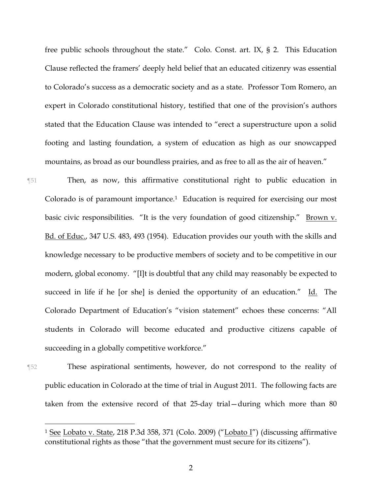free public schools throughout the state." Colo. Const. art. IX, § 2. This Education Clause reflected the framers' deeply held belief that an educated citizenry was essential to Colorado's success as a democratic society and as a state. Professor Tom Romero, an expert in Colorado constitutional history, testified that one of the provision's authors stated that the Education Clause was intended to "erect a superstructure upon a solid footing and lasting foundation, a system of education as high as our snowcapped mountains, as broad as our boundless prairies, and as free to all as the air of heaven."

¶51 Then, as now, this affirmative constitutional right to public education in Colorado is of paramount importance.<sup>1</sup> Education is required for exercising our most basic civic responsibilities. "It is the very foundation of good citizenship." Brown v. Bd. of Educ., 347 U.S. 483, 493 (1954). Education provides our youth with the skills and knowledge necessary to be productive members of society and to be competitive in our modern, global economy. "[I]t is doubtful that any child may reasonably be expected to succeed in life if he [or she] is denied the opportunity of an education." Id. The Colorado Department of Education's "vision statement" echoes these concerns: "All students in Colorado will become educated and productive citizens capable of succeeding in a globally competitive workforce."

¶52 These aspirational sentiments, however, do not correspond to the reality of public education in Colorado at the time of trial in August 2011. The following facts are taken from the extensive record of that 25-day trial—during which more than 80

 $\overline{a}$ 

<sup>&</sup>lt;sup>1</sup> See Lobato v. State, 218 P.3d 358, 371 (Colo. 2009) ("Lobato I") (discussing affirmative constitutional rights as those "that the government must secure for its citizens").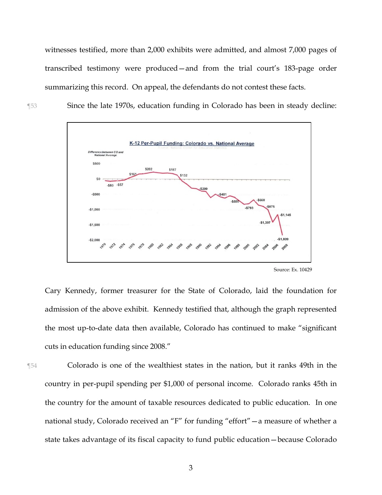witnesses testified, more than 2,000 exhibits were admitted, and almost 7,000 pages of transcribed testimony were produced—and from the trial court's 183-page order summarizing this record. On appeal, the defendants do not contest these facts.

¶53 Since the late 1970s, education funding in Colorado has been in steady decline:



Cary Kennedy, former treasurer for the State of Colorado, laid the foundation for admission of the above exhibit. Kennedy testified that, although the graph represented

the most up-to-date data then available, Colorado has continued to make "significant cuts in education funding since 2008."

¶54 Colorado is one of the wealthiest states in the nation, but it ranks 49th in the country in per-pupil spending per \$1,000 of personal income. Colorado ranks 45th in the country for the amount of taxable resources dedicated to public education. In one national study, Colorado received an "F" for funding "effort"—a measure of whether a state takes advantage of its fiscal capacity to fund public education—because Colorado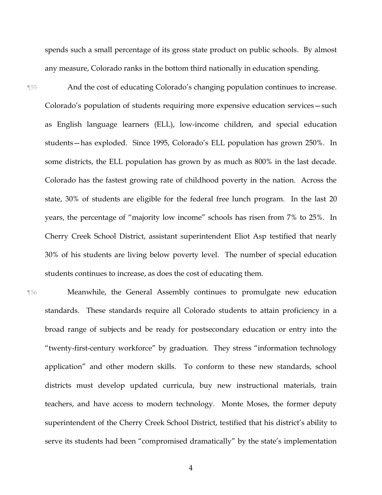spends such a small percentage of its gross state product on public schools. By almost any measure, Colorado ranks in the bottom third nationally in education spending.

¶55 And the cost of educating Colorado's changing population continues to increase. Colorado's population of students requiring more expensive education services—such as English language learners (ELL), low-income children, and special education students—has exploded. Since 1995, Colorado's ELL population has grown 250%. In some districts, the ELL population has grown by as much as 800% in the last decade. Colorado has the fastest growing rate of childhood poverty in the nation. Across the state, 30% of students are eligible for the federal free lunch program. In the last 20 years, the percentage of "majority low income" schools has risen from 7% to 25%. In Cherry Creek School District, assistant superintendent Eliot Asp testified that nearly 30% of his students are living below poverty level. The number of special education students continues to increase, as does the cost of educating them.

¶56 Meanwhile, the General Assembly continues to promulgate new education standards. These standards require all Colorado students to attain proficiency in a broad range of subjects and be ready for postsecondary education or entry into the "twenty-first-century workforce" by graduation. They stress "information technology application" and other modern skills. To conform to these new standards, school districts must develop updated curricula, buy new instructional materials, train teachers, and have access to modern technology. Monte Moses, the former deputy superintendent of the Cherry Creek School District, testified that his district's ability to serve its students had been "compromised dramatically" by the state's implementation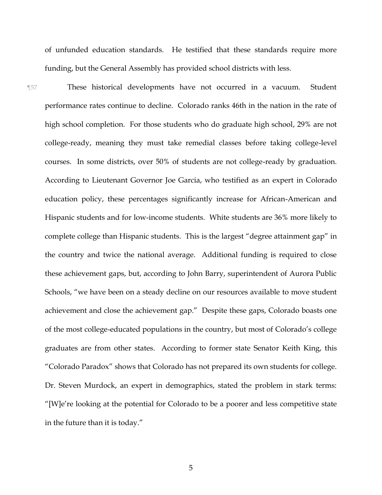of unfunded education standards. He testified that these standards require more funding, but the General Assembly has provided school districts with less.

¶57 These historical developments have not occurred in a vacuum. Student performance rates continue to decline. Colorado ranks 46th in the nation in the rate of high school completion. For those students who do graduate high school, 29% are not college-ready, meaning they must take remedial classes before taking college-level courses. In some districts, over 50% of students are not college-ready by graduation. According to Lieutenant Governor Joe Garcia, who testified as an expert in Colorado education policy, these percentages significantly increase for African-American and Hispanic students and for low-income students. White students are 36% more likely to complete college than Hispanic students. This is the largest "degree attainment gap" in the country and twice the national average. Additional funding is required to close these achievement gaps, but, according to John Barry, superintendent of Aurora Public Schools, "we have been on a steady decline on our resources available to move student achievement and close the achievement gap." Despite these gaps, Colorado boasts one of the most college-educated populations in the country, but most of Colorado's college graduates are from other states. According to former state Senator Keith King, this "Colorado Paradox" shows that Colorado has not prepared its own students for college. Dr. Steven Murdock, an expert in demographics, stated the problem in stark terms: "[W]e're looking at the potential for Colorado to be a poorer and less competitive state in the future than it is today."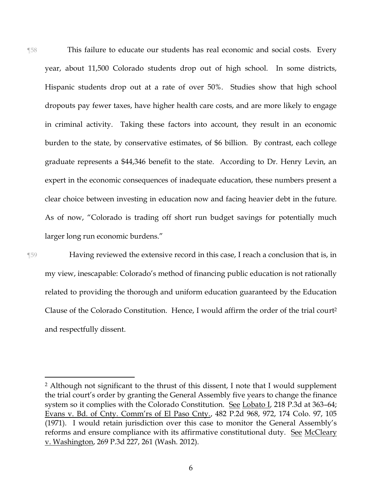¶58 This failure to educate our students has real economic and social costs. Every year, about 11,500 Colorado students drop out of high school. In some districts, Hispanic students drop out at a rate of over 50%. Studies show that high school dropouts pay fewer taxes, have higher health care costs, and are more likely to engage in criminal activity. Taking these factors into account, they result in an economic burden to the state, by conservative estimates, of \$6 billion. By contrast, each college graduate represents a \$44,346 benefit to the state. According to Dr. Henry Levin, an expert in the economic consequences of inadequate education, these numbers present a clear choice between investing in education now and facing heavier debt in the future. As of now, "Colorado is trading off short run budget savings for potentially much larger long run economic burdens."

 $\overline{a}$ 

¶59 Having reviewed the extensive record in this case, I reach a conclusion that is, in my view, inescapable: Colorado's method of financing public education is not rationally related to providing the thorough and uniform education guaranteed by the Education Clause of the Colorado Constitution. Hence, I would affirm the order of the trial court<sup>2</sup> and respectfully dissent.

<sup>2</sup> Although not significant to the thrust of this dissent, I note that I would supplement the trial court's order by granting the General Assembly five years to change the finance system so it complies with the Colorado Constitution. See Lobato I, 218 P.3d at 363–64; Evans v. Bd. of Cnty. Comm'rs of El Paso Cnty., 482 P.2d 968, 972, 174 Colo. 97, 105 (1971). I would retain jurisdiction over this case to monitor the General Assembly's reforms and ensure compliance with its affirmative constitutional duty. See McCleary v. Washington, 269 P.3d 227, 261 (Wash. 2012).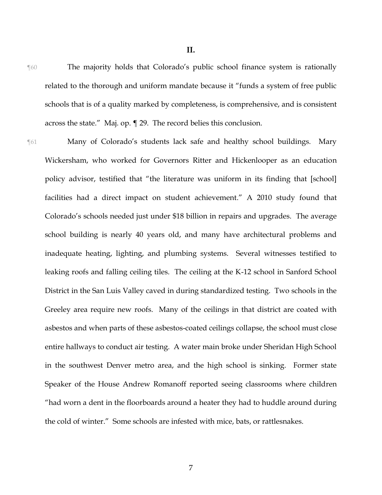**II.**

- ¶60 The majority holds that Colorado's public school finance system is rationally related to the thorough and uniform mandate because it "funds a system of free public schools that is of a quality marked by completeness, is comprehensive, and is consistent across the state." Maj. op. ¶ 29. The record belies this conclusion.
- 

¶61 Many of Colorado's students lack safe and healthy school buildings. Mary Wickersham, who worked for Governors Ritter and Hickenlooper as an education policy advisor, testified that "the literature was uniform in its finding that [school] facilities had a direct impact on student achievement." A 2010 study found that Colorado's schools needed just under \$18 billion in repairs and upgrades. The average school building is nearly 40 years old, and many have architectural problems and inadequate heating, lighting, and plumbing systems. Several witnesses testified to leaking roofs and falling ceiling tiles. The ceiling at the K-12 school in Sanford School District in the San Luis Valley caved in during standardized testing. Two schools in the Greeley area require new roofs. Many of the ceilings in that district are coated with asbestos and when parts of these asbestos-coated ceilings collapse, the school must close entire hallways to conduct air testing. A water main broke under Sheridan High School in the southwest Denver metro area, and the high school is sinking. Former state Speaker of the House Andrew Romanoff reported seeing classrooms where children "had worn a dent in the floorboards around a heater they had to huddle around during the cold of winter." Some schools are infested with mice, bats, or rattlesnakes.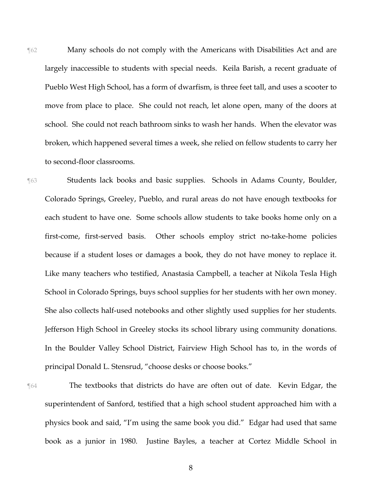¶62 Many schools do not comply with the Americans with Disabilities Act and are largely inaccessible to students with special needs. Keila Barish, a recent graduate of Pueblo West High School, has a form of dwarfism, is three feet tall, and uses a scooter to move from place to place. She could not reach, let alone open, many of the doors at school. She could not reach bathroom sinks to wash her hands. When the elevator was broken, which happened several times a week, she relied on fellow students to carry her to second-floor classrooms.

¶63 Students lack books and basic supplies. Schools in Adams County, Boulder, Colorado Springs, Greeley, Pueblo, and rural areas do not have enough textbooks for each student to have one. Some schools allow students to take books home only on a first-come, first-served basis. Other schools employ strict no-take-home policies because if a student loses or damages a book, they do not have money to replace it. Like many teachers who testified, Anastasia Campbell, a teacher at Nikola Tesla High School in Colorado Springs, buys school supplies for her students with her own money. She also collects half-used notebooks and other slightly used supplies for her students. Jefferson High School in Greeley stocks its school library using community donations. In the Boulder Valley School District, Fairview High School has to, in the words of principal Donald L. Stensrud, "choose desks or choose books."

¶64 The textbooks that districts do have are often out of date. Kevin Edgar, the superintendent of Sanford, testified that a high school student approached him with a physics book and said, "I'm using the same book you did." Edgar had used that same book as a junior in 1980. Justine Bayles, a teacher at Cortez Middle School in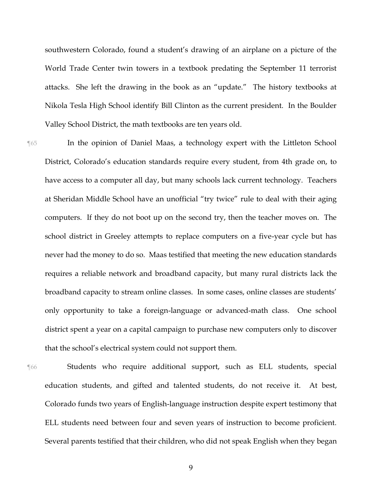southwestern Colorado, found a student's drawing of an airplane on a picture of the World Trade Center twin towers in a textbook predating the September 11 terrorist attacks. She left the drawing in the book as an "update." The history textbooks at Nikola Tesla High School identify Bill Clinton as the current president. In the Boulder Valley School District, the math textbooks are ten years old.

¶65 In the opinion of Daniel Maas, a technology expert with the Littleton School District, Colorado's education standards require every student, from 4th grade on, to have access to a computer all day, but many schools lack current technology. Teachers at Sheridan Middle School have an unofficial "try twice" rule to deal with their aging computers. If they do not boot up on the second try, then the teacher moves on. The school district in Greeley attempts to replace computers on a five-year cycle but has never had the money to do so. Maas testified that meeting the new education standards requires a reliable network and broadband capacity, but many rural districts lack the broadband capacity to stream online classes. In some cases, online classes are students' only opportunity to take a foreign-language or advanced-math class. One school district spent a year on a capital campaign to purchase new computers only to discover that the school's electrical system could not support them.

¶66 Students who require additional support, such as ELL students, special education students, and gifted and talented students, do not receive it. At best, Colorado funds two years of English-language instruction despite expert testimony that ELL students need between four and seven years of instruction to become proficient. Several parents testified that their children, who did not speak English when they began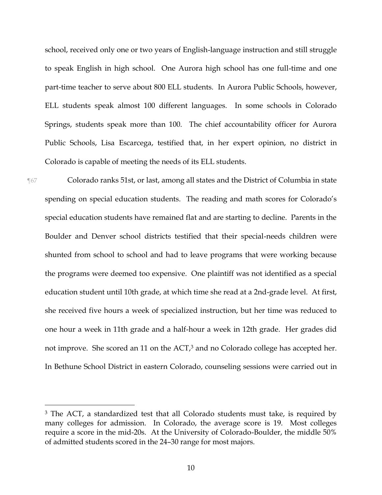school, received only one or two years of English-language instruction and still struggle to speak English in high school. One Aurora high school has one full-time and one part-time teacher to serve about 800 ELL students. In Aurora Public Schools, however, ELL students speak almost 100 different languages. In some schools in Colorado Springs, students speak more than 100. The chief accountability officer for Aurora Public Schools, Lisa Escarcega, testified that, in her expert opinion, no district in Colorado is capable of meeting the needs of its ELL students.

¶67 Colorado ranks 51st, or last, among all states and the District of Columbia in state spending on special education students. The reading and math scores for Colorado's special education students have remained flat and are starting to decline. Parents in the Boulder and Denver school districts testified that their special-needs children were shunted from school to school and had to leave programs that were working because the programs were deemed too expensive. One plaintiff was not identified as a special education student until 10th grade, at which time she read at a 2nd-grade level. At first, she received five hours a week of specialized instruction, but her time was reduced to one hour a week in 11th grade and a half-hour a week in 12th grade. Her grades did not improve. She scored an 11 on the ACT,<sup>3</sup> and no Colorado college has accepted her. In Bethune School District in eastern Colorado, counseling sessions were carried out in

 $\overline{a}$ 

<sup>3</sup> The ACT, a standardized test that all Colorado students must take, is required by many colleges for admission. In Colorado, the average score is 19. Most colleges require a score in the mid-20s. At the University of Colorado-Boulder, the middle 50% of admitted students scored in the 24–30 range for most majors.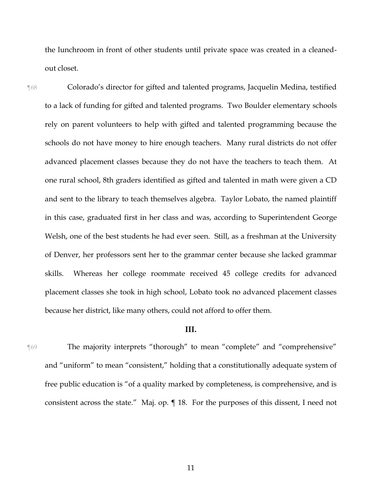the lunchroom in front of other students until private space was created in a cleanedout closet.

¶68 Colorado's director for gifted and talented programs, Jacquelin Medina, testified to a lack of funding for gifted and talented programs. Two Boulder elementary schools rely on parent volunteers to help with gifted and talented programming because the schools do not have money to hire enough teachers. Many rural districts do not offer advanced placement classes because they do not have the teachers to teach them. At one rural school, 8th graders identified as gifted and talented in math were given a CD and sent to the library to teach themselves algebra. Taylor Lobato, the named plaintiff in this case, graduated first in her class and was, according to Superintendent George Welsh, one of the best students he had ever seen. Still, as a freshman at the University of Denver, her professors sent her to the grammar center because she lacked grammar skills. Whereas her college roommate received 45 college credits for advanced placement classes she took in high school, Lobato took no advanced placement classes because her district, like many others, could not afford to offer them.

# **III.**

¶69 The majority interprets "thorough" to mean "complete" and "comprehensive" and "uniform" to mean "consistent," holding that a constitutionally adequate system of free public education is "of a quality marked by completeness, is comprehensive, and is consistent across the state." Maj. op. ¶ 18. For the purposes of this dissent, I need not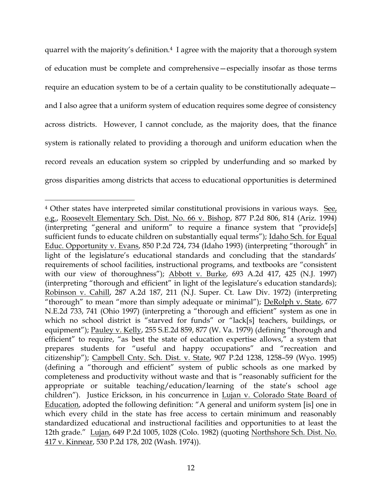quarrel with the majority's definition.<sup>4</sup> I agree with the majority that a thorough system of education must be complete and comprehensive—especially insofar as those terms require an education system to be of a certain quality to be constitutionally adequate and I also agree that a uniform system of education requires some degree of consistency across districts. However, I cannot conclude, as the majority does, that the finance system is rationally related to providing a thorough and uniform education when the record reveals an education system so crippled by underfunding and so marked by gross disparities among districts that access to educational opportunities is determined

 $\overline{a}$  $4$  Other states have interpreted similar constitutional provisions in various ways. See, e.g., Roosevelt Elementary Sch. Dist. No. 66 v. Bishop, 877 P.2d 806, 814 (Ariz. 1994) (interpreting "general and uniform" to require a finance system that "provide[s] sufficient funds to educate children on substantially equal terms"); Idaho Sch. for Equal Educ. Opportunity v. Evans, 850 P.2d 724, 734 (Idaho 1993) (interpreting "thorough" in light of the legislature's educational standards and concluding that the standards' requirements of school facilities, instructional programs, and textbooks are "consistent with our view of thoroughness"); Abbott v. Burke, 693 A.2d 417, 425 (N.J. 1997) (interpreting "thorough and efficient" in light of the legislature's education standards); Robinson v. Cahill, 287 A.2d 187, 211 (N.J. Super. Ct. Law Div. 1972) (interpreting "thorough" to mean "more than simply adequate or minimal"); DeRolph v. State, 677 N.E.2d 733, 741 (Ohio 1997) (interpreting a "thorough and efficient" system as one in which no school district is "starved for funds" or "lack[s] teachers, buildings, or equipment"); Pauley v. Kelly, 255 S.E.2d 859, 877 (W. Va. 1979) (defining "thorough and efficient" to require, "as best the state of education expertise allows," a system that prepares students for "useful and happy occupations" and "recreation and citizenship"); Campbell Cnty. Sch. Dist. v. State, 907 P.2d 1238, 1258–59 (Wyo. 1995) (defining a "thorough and efficient" system of public schools as one marked by completeness and productivity without waste and that is "reasonably sufficient for the appropriate or suitable teaching/education/learning of the state's school age children"). Justice Erickson, in his concurrence in Lujan v. Colorado State Board of Education, adopted the following definition: "A general and uniform system [is] one in which every child in the state has free access to certain minimum and reasonably standardized educational and instructional facilities and opportunities to at least the 12th grade." Lujan, 649 P.2d 1005, 1028 (Colo. 1982) (quoting Northshore Sch. Dist. No. 417 v. Kinnear, 530 P.2d 178, 202 (Wash. 1974)).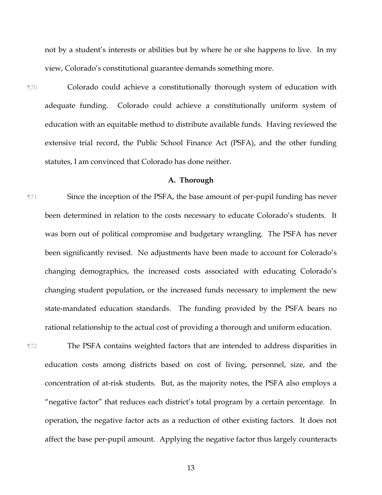not by a student's interests or abilities but by where he or she happens to live. In my view, Colorado's constitutional guarantee demands something more.

¶70 Colorado could achieve a constitutionally thorough system of education with adequate funding. Colorado could achieve a constitutionally uniform system of education with an equitable method to distribute available funds. Having reviewed the extensive trial record, the Public School Finance Act (PSFA), and the other funding statutes, I am convinced that Colorado has done neither.

## **A. Thorough**

- ¶71 Since the inception of the PSFA, the base amount of per-pupil funding has never been determined in relation to the costs necessary to educate Colorado's students. It was born out of political compromise and budgetary wrangling. The PSFA has never been significantly revised. No adjustments have been made to account for Colorado's changing demographics, the increased costs associated with educating Colorado's changing student population, or the increased funds necessary to implement the new state-mandated education standards. The funding provided by the PSFA bears no rational relationship to the actual cost of providing a thorough and uniform education.
- ¶72 The PSFA contains weighted factors that are intended to address disparities in education costs among districts based on cost of living, personnel, size, and the concentration of at-risk students. But, as the majority notes, the PSFA also employs a "negative factor" that reduces each district's total program by a certain percentage. In operation, the negative factor acts as a reduction of other existing factors. It does not affect the base per-pupil amount. Applying the negative factor thus largely counteracts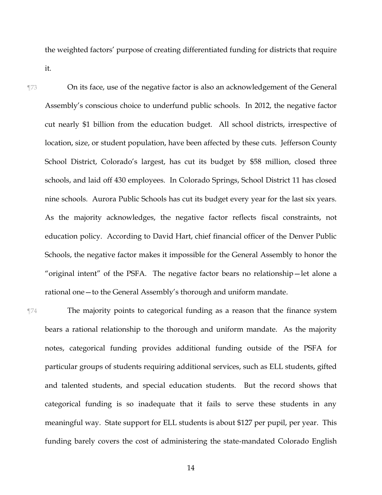the weighted factors' purpose of creating differentiated funding for districts that require it.

¶73 On its face, use of the negative factor is also an acknowledgement of the General Assembly's conscious choice to underfund public schools. In 2012, the negative factor cut nearly \$1 billion from the education budget. All school districts, irrespective of location, size, or student population, have been affected by these cuts. Jefferson County School District, Colorado's largest, has cut its budget by \$58 million, closed three schools, and laid off 430 employees. In Colorado Springs, School District 11 has closed nine schools. Aurora Public Schools has cut its budget every year for the last six years. As the majority acknowledges, the negative factor reflects fiscal constraints, not education policy. According to David Hart, chief financial officer of the Denver Public Schools, the negative factor makes it impossible for the General Assembly to honor the "original intent" of the PSFA. The negative factor bears no relationship—let alone a rational one—to the General Assembly's thorough and uniform mandate.

¶74 The majority points to categorical funding as a reason that the finance system bears a rational relationship to the thorough and uniform mandate. As the majority notes, categorical funding provides additional funding outside of the PSFA for particular groups of students requiring additional services, such as ELL students, gifted and talented students, and special education students. But the record shows that categorical funding is so inadequate that it fails to serve these students in any meaningful way. State support for ELL students is about \$127 per pupil, per year. This funding barely covers the cost of administering the state-mandated Colorado English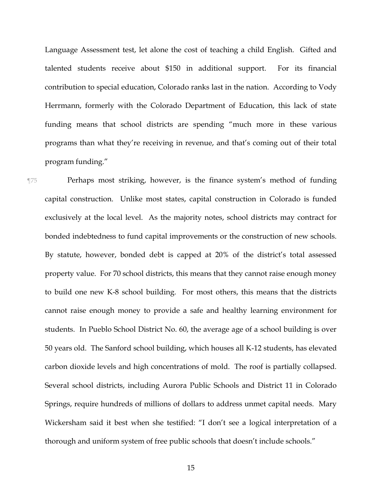Language Assessment test, let alone the cost of teaching a child English. Gifted and talented students receive about \$150 in additional support. For its financial contribution to special education, Colorado ranks last in the nation. According to Vody Herrmann, formerly with the Colorado Department of Education, this lack of state funding means that school districts are spending "much more in these various programs than what they're receiving in revenue, and that's coming out of their total program funding."

¶75 Perhaps most striking, however, is the finance system's method of funding capital construction. Unlike most states, capital construction in Colorado is funded exclusively at the local level. As the majority notes, school districts may contract for bonded indebtedness to fund capital improvements or the construction of new schools. By statute, however, bonded debt is capped at 20% of the district's total assessed property value. For 70 school districts, this means that they cannot raise enough money to build one new K-8 school building. For most others, this means that the districts cannot raise enough money to provide a safe and healthy learning environment for students. In Pueblo School District No. 60, the average age of a school building is over 50 years old. The Sanford school building, which houses all K-12 students, has elevated carbon dioxide levels and high concentrations of mold. The roof is partially collapsed. Several school districts, including Aurora Public Schools and District 11 in Colorado Springs, require hundreds of millions of dollars to address unmet capital needs. Mary Wickersham said it best when she testified: "I don't see a logical interpretation of a thorough and uniform system of free public schools that doesn't include schools."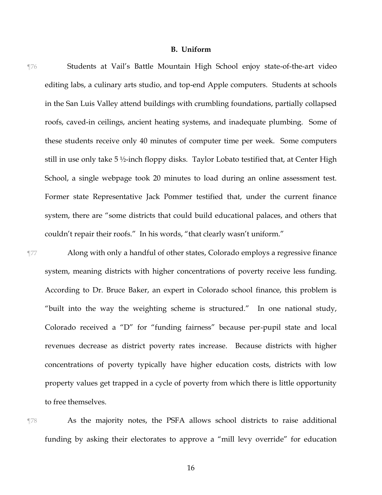# **B. Uniform**

¶76 Students at Vail's Battle Mountain High School enjoy state-of-the-art video editing labs, a culinary arts studio, and top-end Apple computers. Students at schools in the San Luis Valley attend buildings with crumbling foundations, partially collapsed roofs, caved-in ceilings, ancient heating systems, and inadequate plumbing. Some of these students receive only 40 minutes of computer time per week. Some computers still in use only take 5 ½-inch floppy disks. Taylor Lobato testified that, at Center High School, a single webpage took 20 minutes to load during an online assessment test. Former state Representative Jack Pommer testified that, under the current finance system, there are "some districts that could build educational palaces, and others that couldn't repair their roofs." In his words, "that clearly wasn't uniform."

¶77 Along with only a handful of other states, Colorado employs a regressive finance system, meaning districts with higher concentrations of poverty receive less funding. According to Dr. Bruce Baker, an expert in Colorado school finance, this problem is "built into the way the weighting scheme is structured." In one national study, Colorado received a "D" for "funding fairness" because per-pupil state and local revenues decrease as district poverty rates increase. Because districts with higher concentrations of poverty typically have higher education costs, districts with low property values get trapped in a cycle of poverty from which there is little opportunity to free themselves.

# ¶78 As the majority notes, the PSFA allows school districts to raise additional funding by asking their electorates to approve a "mill levy override" for education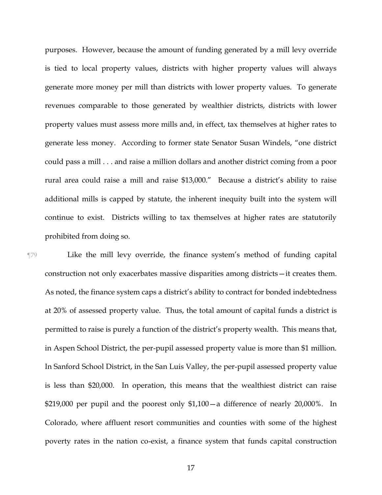purposes. However, because the amount of funding generated by a mill levy override is tied to local property values, districts with higher property values will always generate more money per mill than districts with lower property values. To generate revenues comparable to those generated by wealthier districts, districts with lower property values must assess more mills and, in effect, tax themselves at higher rates to generate less money. According to former state Senator Susan Windels, "one district could pass a mill . . . and raise a million dollars and another district coming from a poor rural area could raise a mill and raise \$13,000." Because a district's ability to raise additional mills is capped by statute, the inherent inequity built into the system will continue to exist. Districts willing to tax themselves at higher rates are statutorily prohibited from doing so.

¶79 Like the mill levy override, the finance system's method of funding capital construction not only exacerbates massive disparities among districts—it creates them. As noted, the finance system caps a district's ability to contract for bonded indebtedness at 20% of assessed property value. Thus, the total amount of capital funds a district is permitted to raise is purely a function of the district's property wealth. This means that, in Aspen School District, the per-pupil assessed property value is more than \$1 million. In Sanford School District, in the San Luis Valley, the per-pupil assessed property value is less than \$20,000. In operation, this means that the wealthiest district can raise \$219,000 per pupil and the poorest only \$1,100—a difference of nearly 20,000%. In Colorado, where affluent resort communities and counties with some of the highest poverty rates in the nation co-exist, a finance system that funds capital construction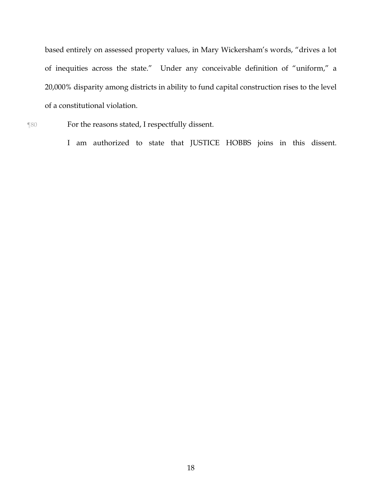based entirely on assessed property values, in Mary Wickersham's words, "drives a lot of inequities across the state." Under any conceivable definition of "uniform," a 20,000% disparity among districts in ability to fund capital construction rises to the level of a constitutional violation.

¶80 For the reasons stated, I respectfully dissent.

I am authorized to state that JUSTICE HOBBS joins in this dissent.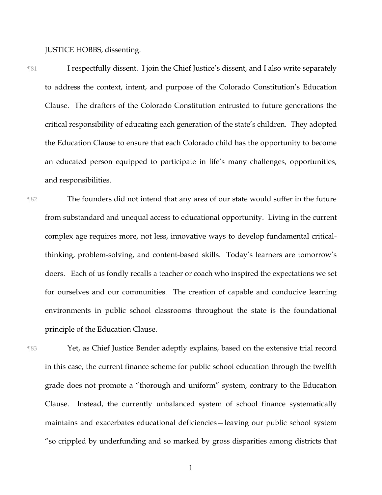JUSTICE HOBBS, dissenting.

- ¶81 I respectfully dissent. I join the Chief Justice's dissent, and I also write separately to address the context, intent, and purpose of the Colorado Constitution's Education Clause. The drafters of the Colorado Constitution entrusted to future generations the critical responsibility of educating each generation of the state's children. They adopted the Education Clause to ensure that each Colorado child has the opportunity to become an educated person equipped to participate in life's many challenges, opportunities, and responsibilities.
- ¶82 The founders did not intend that any area of our state would suffer in the future from substandard and unequal access to educational opportunity. Living in the current complex age requires more, not less, innovative ways to develop fundamental criticalthinking, problem-solving, and content-based skills. Today's learners are tomorrow's doers. Each of us fondly recalls a teacher or coach who inspired the expectations we set for ourselves and our communities. The creation of capable and conducive learning environments in public school classrooms throughout the state is the foundational principle of the Education Clause.
- ¶83 Yet, as Chief Justice Bender adeptly explains, based on the extensive trial record in this case, the current finance scheme for public school education through the twelfth grade does not promote a "thorough and uniform" system, contrary to the Education Clause. Instead, the currently unbalanced system of school finance systematically maintains and exacerbates educational deficiencies—leaving our public school system "so crippled by underfunding and so marked by gross disparities among districts that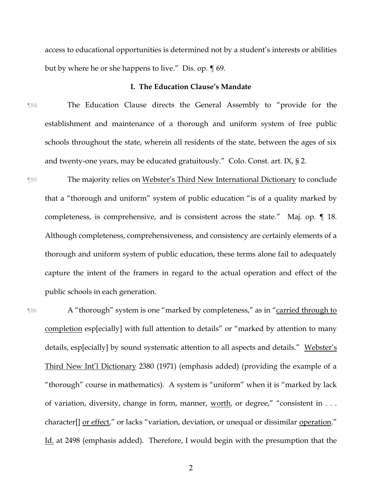access to educational opportunities is determined not by a student's interests or abilities but by where he or she happens to live." Dis. op. ¶ 69.

# **I. The Education Clause's Mandate**

- ¶84 The Education Clause directs the General Assembly to "provide for the establishment and maintenance of a thorough and uniform system of free public schools throughout the state, wherein all residents of the state, between the ages of six and twenty-one years, may be educated gratuitously." Colo. Const. art. IX, § 2.
- ¶85 The majority relies on Webster's Third New International Dictionary to conclude that a "thorough and uniform" system of public education "is of a quality marked by completeness, is comprehensive, and is consistent across the state." Maj. op. ¶ 18. Although completeness, comprehensiveness, and consistency are certainly elements of a thorough and uniform system of public education, these terms alone fail to adequately capture the intent of the framers in regard to the actual operation and effect of the public schools in each generation.

¶86 A "thorough" system is one "marked by completeness," as in "carried through to completion esp[ecially] with full attention to details" or "marked by attention to many details, esp[ecially] by sound systematic attention to all aspects and details." Webster's Third New Int'l Dictionary 2380 (1971) (emphasis added) (providing the example of a "thorough" course in mathematics). A system is "uniform" when it is "marked by lack of variation, diversity, change in form, manner, worth, or degree," "consistent in . . . character<sup>[]</sup> or effect," or lacks "variation, deviation, or unequal or dissimilar operation." Id. at 2498 (emphasis added). Therefore, I would begin with the presumption that the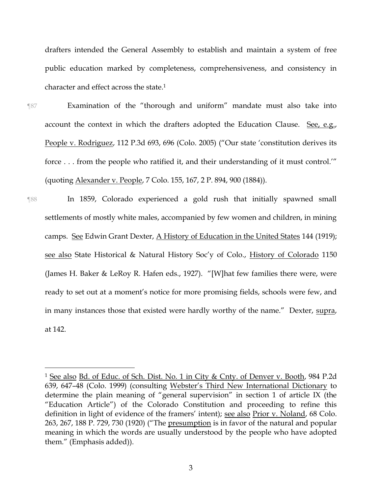drafters intended the General Assembly to establish and maintain a system of free public education marked by completeness, comprehensiveness, and consistency in character and effect across the state.<sup>1</sup>

- ¶87 Examination of the "thorough and uniform" mandate must also take into account the context in which the drafters adopted the Education Clause. See, e.g., People v. Rodriguez, 112 P.3d 693, 696 (Colo. 2005) ("Our state 'constitution derives its force . . . from the people who ratified it, and their understanding of it must control.'" (quoting Alexander v. People, 7 Colo. 155, 167, 2 P. 894, 900 (1884)).
- ¶88 In 1859, Colorado experienced a gold rush that initially spawned small settlements of mostly white males, accompanied by few women and children, in mining camps. See Edwin Grant Dexter, A History of Education in the United States 144 (1919); see also State Historical & Natural History Soc'y of Colo., History of Colorado 1150 (James H. Baker & LeRoy R. Hafen eds., 1927). "[W]hat few families there were, were ready to set out at a moment's notice for more promising fields, schools were few, and in many instances those that existed were hardly worthy of the name." Dexter, supra, at 142.

 $\overline{a}$ 

<sup>1</sup> See also Bd. of Educ. of Sch. Dist. No. 1 in City & Cnty. of Denver v. Booth, 984 P.2d 639, 647–48 (Colo. 1999) (consulting Webster's Third New International Dictionary to determine the plain meaning of "general supervision" in section 1 of article IX (the "Education Article") of the Colorado Constitution and proceeding to refine this definition in light of evidence of the framers' intent); see also Prior v. Noland, 68 Colo. 263, 267, 188 P. 729, 730 (1920) ("The presumption is in favor of the natural and popular meaning in which the words are usually understood by the people who have adopted them." (Emphasis added)).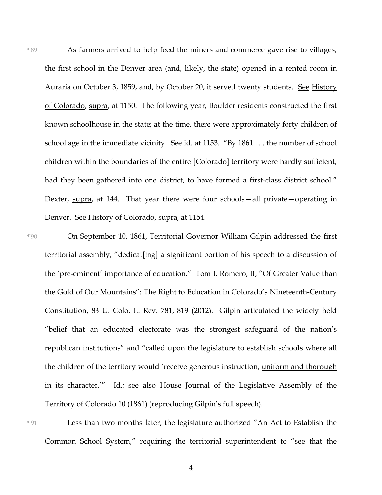¶89 As farmers arrived to help feed the miners and commerce gave rise to villages, the first school in the Denver area (and, likely, the state) opened in a rented room in Auraria on October 3, 1859, and, by October 20, it served twenty students. See History of Colorado, supra, at 1150. The following year, Boulder residents constructed the first known schoolhouse in the state; at the time, there were approximately forty children of school age in the immediate vicinity. See id. at 1153. "By  $1861...$  the number of school children within the boundaries of the entire [Colorado] territory were hardly sufficient, had they been gathered into one district, to have formed a first-class district school." Dexter, supra, at 144. That year there were four schools-all private-operating in Denver. See History of Colorado, supra, at 1154.

¶90 On September 10, 1861, Territorial Governor William Gilpin addressed the first territorial assembly, "dedicat[ing] a significant portion of his speech to a discussion of the 'pre-eminent' importance of education." Tom I. Romero, II, "Of Greater Value than the Gold of Our Mountains": The Right to Education in Colorado's Nineteenth-Century Constitution, 83 U. Colo. L. Rev. 781, 819 (2012). Gilpin articulated the widely held "belief that an educated electorate was the strongest safeguard of the nation's republican institutions" and "called upon the legislature to establish schools where all the children of the territory would 'receive generous instruction, uniform and thorough in its character.'" Id.; see also House Journal of the Legislative Assembly of the Territory of Colorado 10 (1861) (reproducing Gilpin's full speech).

¶91 Less than two months later, the legislature authorized "An Act to Establish the Common School System," requiring the territorial superintendent to "see that the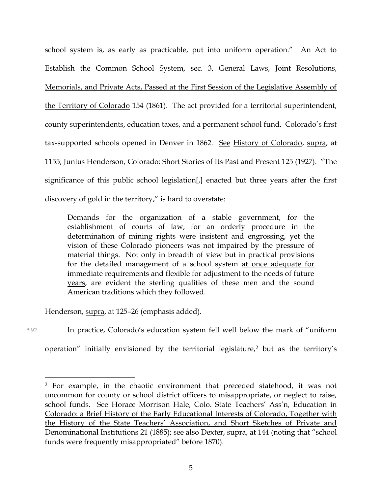school system is, as early as practicable, put into uniform operation." An Act to Establish the Common School System, sec. 3, General Laws, Joint Resolutions, Memorials, and Private Acts, Passed at the First Session of the Legislative Assembly of the Territory of Colorado 154 (1861). The act provided for a territorial superintendent, county superintendents, education taxes, and a permanent school fund. Colorado's first tax-supported schools opened in Denver in 1862. See History of Colorado, supra, at 1155; Junius Henderson, Colorado: Short Stories of Its Past and Present 125 (1927). "The significance of this public school legislation[,] enacted but three years after the first discovery of gold in the territory," is hard to overstate:

Demands for the organization of a stable government, for the establishment of courts of law, for an orderly procedure in the determination of mining rights were insistent and engrossing, yet the vision of these Colorado pioneers was not impaired by the pressure of material things. Not only in breadth of view but in practical provisions for the detailed management of a school system at once adequate for immediate requirements and flexible for adjustment to the needs of future years, are evident the sterling qualities of these men and the sound American traditions which they followed.

Henderson, supra, at 125–26 (emphasis added).

 $\overline{a}$ 

¶92 In practice, Colorado's education system fell well below the mark of "uniform operation" initially envisioned by the territorial legislature,<sup>2</sup> but as the territory's

<sup>2</sup> For example, in the chaotic environment that preceded statehood, it was not uncommon for county or school district officers to misappropriate, or neglect to raise, school funds. See Horace Morrison Hale, Colo. State Teachers' Ass'n, Education in Colorado: a Brief History of the Early Educational Interests of Colorado, Together with the History of the State Teachers' Association, and Short Sketches of Private and Denominational Institutions 21 (1885); see also Dexter, supra, at 144 (noting that "school funds were frequently misappropriated" before 1870).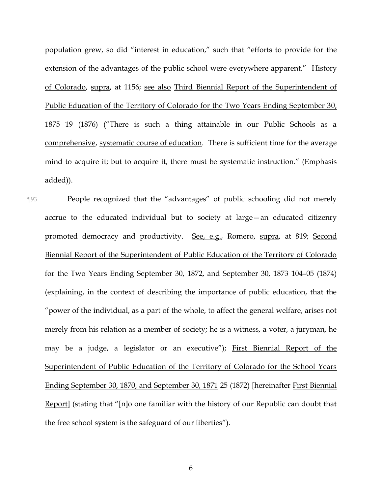population grew, so did "interest in education," such that "efforts to provide for the extension of the advantages of the public school were everywhere apparent." History of Colorado, supra, at 1156; see also Third Biennial Report of the Superintendent of Public Education of the Territory of Colorado for the Two Years Ending September 30, 1875 19 (1876) ("There is such a thing attainable in our Public Schools as a comprehensive, systematic course of education. There is sufficient time for the average mind to acquire it; but to acquire it, there must be systematic instruction." (Emphasis added)).

¶93 People recognized that the "advantages" of public schooling did not merely accrue to the educated individual but to society at large—an educated citizenry promoted democracy and productivity. See, e.g., Romero, supra, at 819; Second Biennial Report of the Superintendent of Public Education of the Territory of Colorado for the Two Years Ending September 30, 1872, and September 30, 1873 104–05 (1874) (explaining, in the context of describing the importance of public education, that the "power of the individual, as a part of the whole, to affect the general welfare, arises not merely from his relation as a member of society; he is a witness, a voter, a juryman, he may be a judge, a legislator or an executive"); First Biennial Report of the Superintendent of Public Education of the Territory of Colorado for the School Years Ending September 30, 1870, and September 30, 1871 25 (1872) [hereinafter First Biennial Report] (stating that "[n]o one familiar with the history of our Republic can doubt that the free school system is the safeguard of our liberties").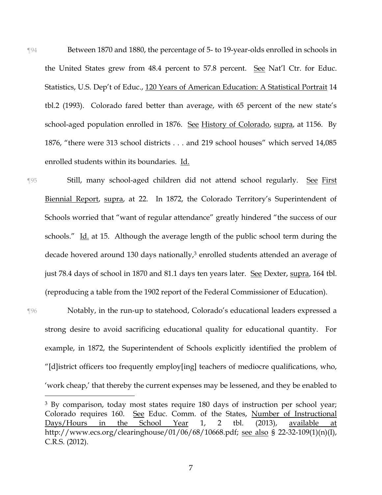¶94 Between 1870 and 1880, the percentage of 5- to 19-year-olds enrolled in schools in the United States grew from 48.4 percent to 57.8 percent. See Nat'l Ctr. for Educ. Statistics, U.S. Dep't of Educ., 120 Years of American Education: A Statistical Portrait 14 tbl.2 (1993). Colorado fared better than average, with 65 percent of the new state's school-aged population enrolled in 1876. See History of Colorado, supra, at 1156. By 1876, "there were 313 school districts . . . and 219 school houses" which served 14,085 enrolled students within its boundaries. Id.

¶95 Still, many school-aged children did not attend school regularly. See First Biennial Report, supra, at 22. In 1872, the Colorado Territory's Superintendent of Schools worried that "want of regular attendance" greatly hindered "the success of our schools." Id. at 15. Although the average length of the public school term during the decade hovered around 130 days nationally,<sup>3</sup> enrolled students attended an average of just 78.4 days of school in 1870 and 81.1 days ten years later. See Dexter, supra, 164 tbl. (reproducing a table from the 1902 report of the Federal Commissioner of Education).

¶96 Notably, in the run-up to statehood, Colorado's educational leaders expressed a strong desire to avoid sacrificing educational quality for educational quantity. For example, in 1872, the Superintendent of Schools explicitly identified the problem of "[d]istrict officers too frequently employ[ing] teachers of mediocre qualifications, who, 'work cheap,' that thereby the current expenses may be lessened, and they be enabled to

 $\overline{a}$ 

<sup>&</sup>lt;sup>3</sup> By comparison, today most states require 180 days of instruction per school year; Colorado requires 160. See Educ. Comm. of the States, Number of Instructional Days/Hours in the School Year 1, 2 tbl. (2013), available at http://www.ecs.org/clearinghouse/01/06/68/10668.pdf; see also § 22-32-109(1)(n)(I), C.R.S. (2012).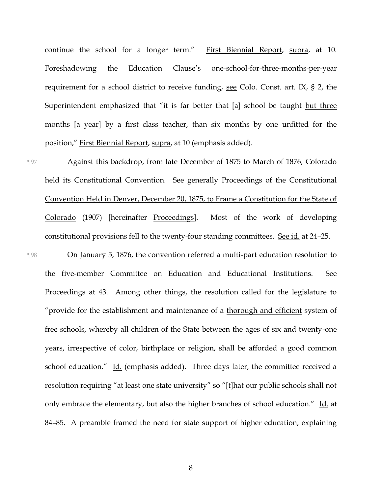continue the school for a longer term." First Biennial Report, supra, at 10. Foreshadowing the Education Clause's one-school-for-three-months-per-year requirement for a school district to receive funding, see Colo. Const. art. IX, § 2, the Superintendent emphasized that "it is far better that [a] school be taught but three months [a year] by a first class teacher, than six months by one unfitted for the position," First Biennial Report, supra, at 10 (emphasis added).

¶97 Against this backdrop, from late December of 1875 to March of 1876, Colorado held its Constitutional Convention. See generally Proceedings of the Constitutional Convention Held in Denver, December 20, 1875, to Frame a Constitution for the State of Colorado (1907) [hereinafter Proceedings]. Most of the work of developing constitutional provisions fell to the twenty-four standing committees. See id. at 24–25.

¶98 On January 5, 1876, the convention referred a multi-part education resolution to the five-member Committee on Education and Educational Institutions. See Proceedings at 43. Among other things, the resolution called for the legislature to "provide for the establishment and maintenance of a thorough and efficient system of free schools, whereby all children of the State between the ages of six and twenty-one years, irrespective of color, birthplace or religion, shall be afforded a good common school education." Id. (emphasis added). Three days later, the committee received a resolution requiring "at least one state university" so "[t]hat our public schools shall not only embrace the elementary, but also the higher branches of school education." Id. at 84–85. A preamble framed the need for state support of higher education, explaining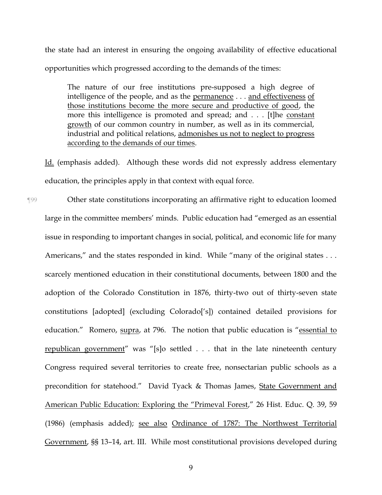the state had an interest in ensuring the ongoing availability of effective educational opportunities which progressed according to the demands of the times:

The nature of our free institutions pre-supposed a high degree of intelligence of the people, and as the permanence . . . and effectiveness of those institutions become the more secure and productive of good, the more this intelligence is promoted and spread; and . . . [t]he constant growth of our common country in number, as well as in its commercial, industrial and political relations, admonishes us not to neglect to progress according to the demands of our times.

Id. (emphasis added). Although these words did not expressly address elementary education, the principles apply in that context with equal force.

¶99 Other state constitutions incorporating an affirmative right to education loomed large in the committee members' minds. Public education had "emerged as an essential issue in responding to important changes in social, political, and economic life for many Americans," and the states responded in kind. While "many of the original states . . . scarcely mentioned education in their constitutional documents, between 1800 and the adoption of the Colorado Constitution in 1876, thirty-two out of thirty-seven state constitutions [adopted] (excluding Colorado['s]) contained detailed provisions for education." Romero, supra, at 796. The notion that public education is "essential to republican government" was "[s]o settled . . . that in the late nineteenth century Congress required several territories to create free, nonsectarian public schools as a precondition for statehood." David Tyack & Thomas James, State Government and American Public Education: Exploring the "Primeval Forest," 26 Hist. Educ. Q. 39, 59 (1986) (emphasis added); see also Ordinance of 1787: The Northwest Territorial Government, §§ 13–14, art. III. While most constitutional provisions developed during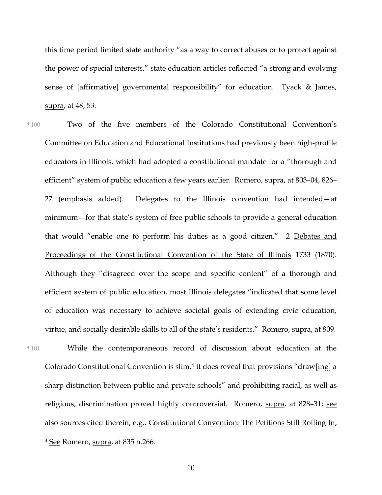this time period limited state authority "as a way to correct abuses or to protect against the power of special interests," state education articles reflected "a strong and evolving sense of [affirmative] governmental responsibility" for education. Tyack & James, supra, at 48, 53.

¶100 Two of the five members of the Colorado Constitutional Convention's Committee on Education and Educational Institutions had previously been high-profile educators in Illinois, which had adopted a constitutional mandate for a "thorough and efficient" system of public education a few years earlier. Romero, supra, at 803–04, 826– 27 (emphasis added). Delegates to the Illinois convention had intended—at minimum—for that state's system of free public schools to provide a general education that would "enable one to perform his duties as a good citizen." 2 Debates and Proceedings of the Constitutional Convention of the State of Illinois 1733 (1870). Although they "disagreed over the scope and specific content" of a thorough and efficient system of public education, most Illinois delegates "indicated that some level of education was necessary to achieve societal goals of extending civic education, virtue, and socially desirable skills to all of the state's residents." Romero, supra, at 809.

 $\overline{a}$ 

¶101 While the contemporaneous record of discussion about education at the Colorado Constitutional Convention is slim,<sup>4</sup> it does reveal that provisions "draw[ing] a sharp distinction between public and private schools" and prohibiting racial, as well as religious, discrimination proved highly controversial. Romero, supra, at 828–31; see also sources cited therein, e.g., Constitutional Convention: The Petitions Still Rolling In,

<sup>4</sup> See Romero, supra, at 835 n.266.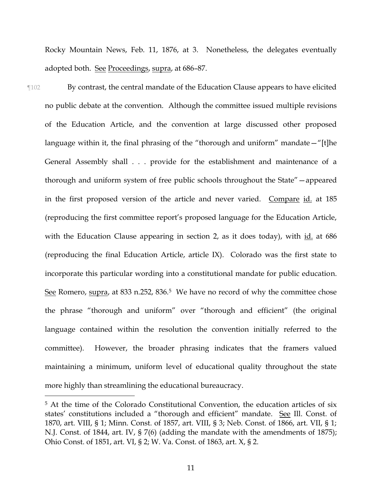Rocky Mountain News, Feb. 11, 1876, at 3. Nonetheless, the delegates eventually adopted both. See Proceedings, supra, at 686-87.

¶102 By contrast, the central mandate of the Education Clause appears to have elicited no public debate at the convention. Although the committee issued multiple revisions of the Education Article, and the convention at large discussed other proposed language within it, the final phrasing of the "thorough and uniform" mandate—"[t]he General Assembly shall . . . provide for the establishment and maintenance of a thorough and uniform system of free public schools throughout the State"—appeared in the first proposed version of the article and never varied. Compare id. at 185 (reproducing the first committee report's proposed language for the Education Article, with the Education Clause appearing in section 2, as it does today), with  $id$  at 686 (reproducing the final Education Article, article IX). Colorado was the first state to incorporate this particular wording into a constitutional mandate for public education. See Romero, supra, at 833 n.252, 836.<sup>5</sup> We have no record of why the committee chose the phrase "thorough and uniform" over "thorough and efficient" (the original language contained within the resolution the convention initially referred to the committee). However, the broader phrasing indicates that the framers valued maintaining a minimum, uniform level of educational quality throughout the state more highly than streamlining the educational bureaucracy.

 $\overline{a}$ 

<sup>&</sup>lt;sup>5</sup> At the time of the Colorado Constitutional Convention, the education articles of six states' constitutions included a "thorough and efficient" mandate. See Ill. Const. of 1870, art. VIII, § 1; Minn. Const. of 1857, art. VIII, § 3; Neb. Const. of 1866, art. VII, § 1; N.J. Const. of 1844, art. IV, § 7(6) (adding the mandate with the amendments of 1875); Ohio Const. of 1851, art. VI, § 2; W. Va. Const. of 1863, art. X, § 2.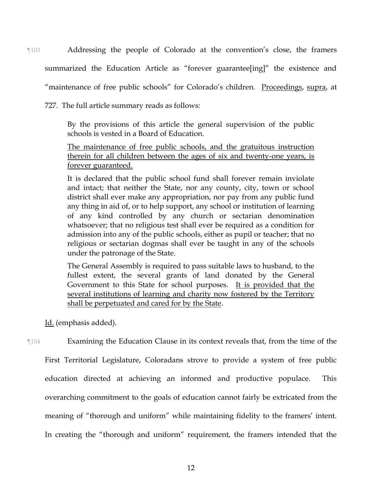¶103 Addressing the people of Colorado at the convention's close, the framers summarized the Education Article as "forever guarantee[ing]" the existence and "maintenance of free public schools" for Colorado's children. Proceedings, supra, at

727. The full article summary reads as follows:

By the provisions of this article the general supervision of the public schools is vested in a Board of Education.

The maintenance of free public schools, and the gratuitous instruction therein for all children between the ages of six and twenty-one years, is forever guaranteed.

It is declared that the public school fund shall forever remain inviolate and intact; that neither the State, nor any county, city, town or school district shall ever make any appropriation, nor pay from any public fund any thing in aid of, or to help support, any school or institution of learning of any kind controlled by any church or sectarian denomination whatsoever; that no religious test shall ever be required as a condition for admission into any of the public schools, either as pupil or teacher; that no religious or sectarian dogmas shall ever be taught in any of the schools under the patronage of the State.

The General Assembly is required to pass suitable laws to husband, to the fullest extent, the several grants of land donated by the General Government to this State for school purposes. It is provided that the several institutions of learning and charity now fostered by the Territory shall be perpetuated and cared for by the State.

Id. (emphasis added).

¶104 Examining the Education Clause in its context reveals that, from the time of the

First Territorial Legislature, Coloradans strove to provide a system of free public education directed at achieving an informed and productive populace. This overarching commitment to the goals of education cannot fairly be extricated from the meaning of "thorough and uniform" while maintaining fidelity to the framers' intent. In creating the "thorough and uniform" requirement, the framers intended that the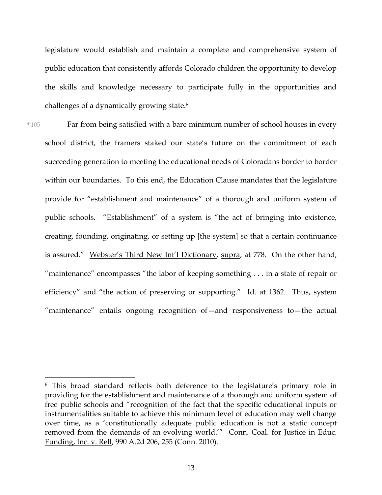legislature would establish and maintain a complete and comprehensive system of public education that consistently affords Colorado children the opportunity to develop the skills and knowledge necessary to participate fully in the opportunities and challenges of a dynamically growing state.<sup>6</sup>

¶105 Far from being satisfied with a bare minimum number of school houses in every school district, the framers staked our state's future on the commitment of each succeeding generation to meeting the educational needs of Coloradans border to border within our boundaries. To this end, the Education Clause mandates that the legislature provide for "establishment and maintenance" of a thorough and uniform system of public schools. "Establishment" of a system is "the act of bringing into existence, creating, founding, originating, or setting up [the system] so that a certain continuance is assured." Webster's Third New Int'l Dictionary, supra, at 778. On the other hand, "maintenance" encompasses "the labor of keeping something . . . in a state of repair or efficiency" and "the action of preserving or supporting." Id. at 1362. Thus, system "maintenance" entails ongoing recognition of—and responsiveness to—the actual

 $\overline{a}$ 

<sup>6</sup> This broad standard reflects both deference to the legislature's primary role in providing for the establishment and maintenance of a thorough and uniform system of free public schools and "recognition of the fact that the specific educational inputs or instrumentalities suitable to achieve this minimum level of education may well change over time, as a 'constitutionally adequate public education is not a static concept removed from the demands of an evolving world.'" Conn. Coal. for Justice in Educ. Funding, Inc. v. Rell, 990 A.2d 206, 255 (Conn. 2010).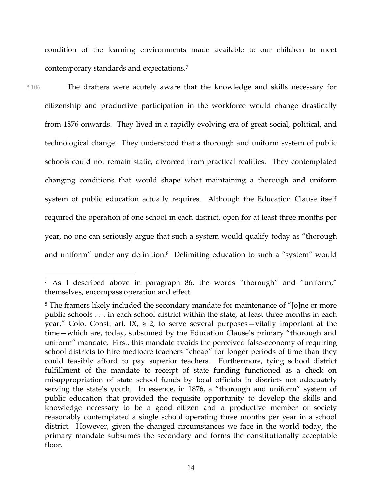condition of the learning environments made available to our children to meet contemporary standards and expectations. 7

¶106 The drafters were acutely aware that the knowledge and skills necessary for citizenship and productive participation in the workforce would change drastically from 1876 onwards. They lived in a rapidly evolving era of great social, political, and technological change. They understood that a thorough and uniform system of public schools could not remain static, divorced from practical realities. They contemplated changing conditions that would shape what maintaining a thorough and uniform system of public education actually requires. Although the Education Clause itself required the operation of one school in each district, open for at least three months per year, no one can seriously argue that such a system would qualify today as "thorough and uniform" under any definition.<sup>8</sup> Delimiting education to such a "system" would

 $\overline{a}$ 

<sup>7</sup> As I described above in paragraph 86, the words "thorough" and "uniform," themselves, encompass operation and effect.

<sup>8</sup> The framers likely included the secondary mandate for maintenance of "[o]ne or more public schools . . . in each school district within the state, at least three months in each year," Colo. Const. art. IX, § 2, to serve several purposes—vitally important at the time—which are, today, subsumed by the Education Clause's primary "thorough and uniform" mandate. First, this mandate avoids the perceived false-economy of requiring school districts to hire mediocre teachers "cheap" for longer periods of time than they could feasibly afford to pay superior teachers. Furthermore, tying school district fulfillment of the mandate to receipt of state funding functioned as a check on misappropriation of state school funds by local officials in districts not adequately serving the state's youth. In essence, in 1876, a "thorough and uniform" system of public education that provided the requisite opportunity to develop the skills and knowledge necessary to be a good citizen and a productive member of society reasonably contemplated a single school operating three months per year in a school district. However, given the changed circumstances we face in the world today, the primary mandate subsumes the secondary and forms the constitutionally acceptable floor.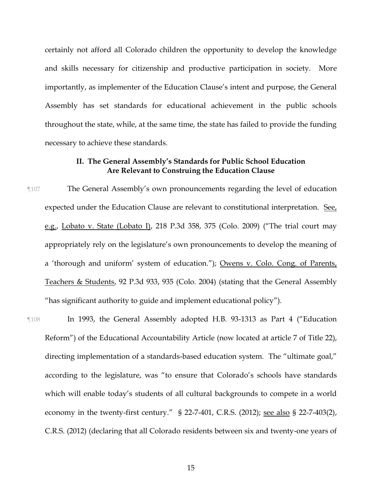certainly not afford all Colorado children the opportunity to develop the knowledge and skills necessary for citizenship and productive participation in society. More importantly, as implementer of the Education Clause's intent and purpose, the General Assembly has set standards for educational achievement in the public schools throughout the state, while, at the same time, the state has failed to provide the funding necessary to achieve these standards.

# **II. The General Assembly's Standards for Public School Education Are Relevant to Construing the Education Clause**

¶107 The General Assembly's own pronouncements regarding the level of education expected under the Education Clause are relevant to constitutional interpretation. See e.g., Lobato v. State (Lobato I), 218 P.3d 358, 375 (Colo. 2009) ("The trial court may appropriately rely on the legislature's own pronouncements to develop the meaning of a 'thorough and uniform' system of education."); Owens v. Colo. Cong. of Parents, Teachers & Students, 92 P.3d 933, 935 (Colo. 2004) (stating that the General Assembly "has significant authority to guide and implement educational policy").

¶108 In 1993, the General Assembly adopted H.B. 93-1313 as Part 4 ("Education Reform") of the Educational Accountability Article (now located at article 7 of Title 22), directing implementation of a standards-based education system. The "ultimate goal," according to the legislature, was "to ensure that Colorado's schools have standards which will enable today's students of all cultural backgrounds to compete in a world economy in the twenty-first century." § 22-7-401, C.R.S. (2012); see also § 22-7-403(2), C.R.S. (2012) (declaring that all Colorado residents between six and twenty-one years of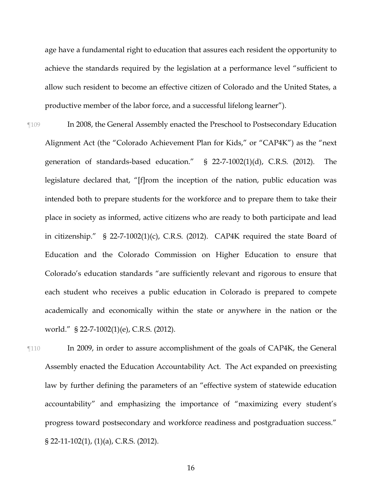age have a fundamental right to education that assures each resident the opportunity to achieve the standards required by the legislation at a performance level "sufficient to allow such resident to become an effective citizen of Colorado and the United States, a productive member of the labor force, and a successful lifelong learner").

¶109 In 2008, the General Assembly enacted the Preschool to Postsecondary Education Alignment Act (the "Colorado Achievement Plan for Kids," or "CAP4K") as the "next generation of standards-based education." § 22-7-1002(1)(d), C.R.S. (2012). The legislature declared that, "[f]rom the inception of the nation, public education was intended both to prepare students for the workforce and to prepare them to take their place in society as informed, active citizens who are ready to both participate and lead in citizenship." § 22-7-1002(1)(c), C.R.S. (2012). CAP4K required the state Board of Education and the Colorado Commission on Higher Education to ensure that Colorado's education standards "are sufficiently relevant and rigorous to ensure that each student who receives a public education in Colorado is prepared to compete academically and economically within the state or anywhere in the nation or the world." § 22-7-1002(1)(e), C.R.S. (2012).

¶110 In 2009, in order to assure accomplishment of the goals of CAP4K, the General Assembly enacted the Education Accountability Act. The Act expanded on preexisting law by further defining the parameters of an "effective system of statewide education accountability" and emphasizing the importance of "maximizing every student's progress toward postsecondary and workforce readiness and postgraduation success." § 22-11-102(1), (1)(a), C.R.S. (2012).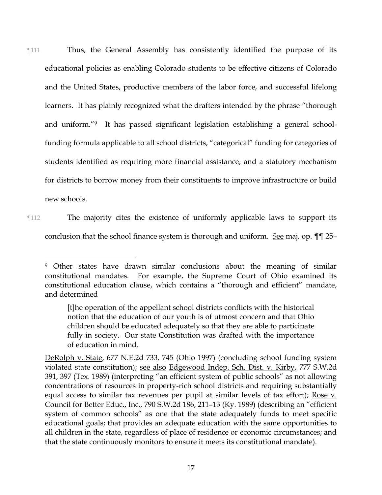¶111 Thus, the General Assembly has consistently identified the purpose of its educational policies as enabling Colorado students to be effective citizens of Colorado and the United States, productive members of the labor force, and successful lifelong learners. It has plainly recognized what the drafters intended by the phrase "thorough and uniform."9 It has passed significant legislation establishing a general schoolfunding formula applicable to all school districts, "categorical" funding for categories of students identified as requiring more financial assistance, and a statutory mechanism for districts to borrow money from their constituents to improve infrastructure or build new schools.

¶112 The majority cites the existence of uniformly applicable laws to support its conclusion that the school finance system is thorough and uniform. See maj. op. ¶¶ 25–

 $\overline{a}$ 

<sup>9</sup> Other states have drawn similar conclusions about the meaning of similar constitutional mandates. For example, the Supreme Court of Ohio examined its constitutional education clause, which contains a "thorough and efficient" mandate, and determined

<sup>[</sup>t]he operation of the appellant school districts conflicts with the historical notion that the education of our youth is of utmost concern and that Ohio children should be educated adequately so that they are able to participate fully in society. Our state Constitution was drafted with the importance of education in mind.

DeRolph v. State, 677 N.E.2d 733, 745 (Ohio 1997) (concluding school funding system violated state constitution); see also Edgewood Indep. Sch. Dist. v. Kirby, 777 S.W.2d 391, 397 (Tex. 1989) (interpreting "an efficient system of public schools" as not allowing concentrations of resources in property-rich school districts and requiring substantially equal access to similar tax revenues per pupil at similar levels of tax effort); Rose v. Council for Better Educ., Inc., 790 S.W.2d 186, 211–13 (Ky. 1989) (describing an "efficient system of common schools" as one that the state adequately funds to meet specific educational goals; that provides an adequate education with the same opportunities to all children in the state, regardless of place of residence or economic circumstances; and that the state continuously monitors to ensure it meets its constitutional mandate).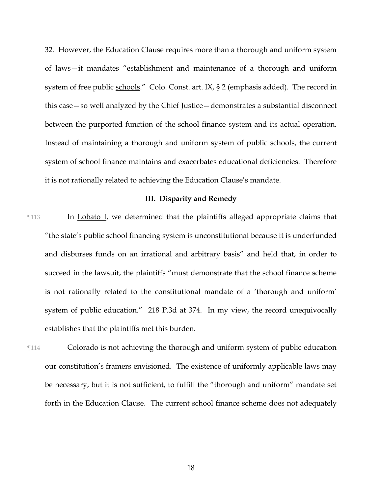32. However, the Education Clause requires more than a thorough and uniform system of laws—it mandates "establishment and maintenance of a thorough and uniform system of free public schools." Colo. Const. art. IX, § 2 (emphasis added). The record in this case—so well analyzed by the Chief Justice—demonstrates a substantial disconnect between the purported function of the school finance system and its actual operation. Instead of maintaining a thorough and uniform system of public schools, the current system of school finance maintains and exacerbates educational deficiencies. Therefore it is not rationally related to achieving the Education Clause's mandate.

## **III. Disparity and Remedy**

- ¶113 In Lobato I, we determined that the plaintiffs alleged appropriate claims that "the state's public school financing system is unconstitutional because it is underfunded and disburses funds on an irrational and arbitrary basis" and held that, in order to succeed in the lawsuit, the plaintiffs "must demonstrate that the school finance scheme is not rationally related to the constitutional mandate of a 'thorough and uniform' system of public education." 218 P.3d at 374. In my view, the record unequivocally establishes that the plaintiffs met this burden.
- ¶114 Colorado is not achieving the thorough and uniform system of public education our constitution's framers envisioned. The existence of uniformly applicable laws may be necessary, but it is not sufficient, to fulfill the "thorough and uniform" mandate set forth in the Education Clause. The current school finance scheme does not adequately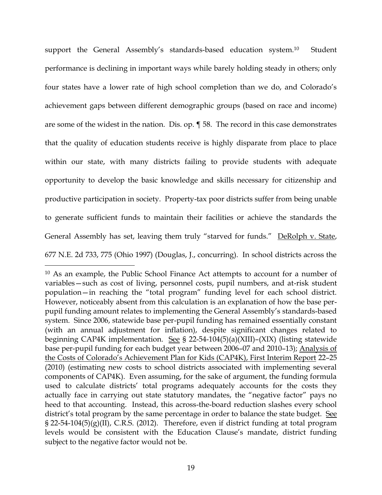support the General Assembly's standards-based education system.<sup>10</sup> Student performance is declining in important ways while barely holding steady in others; only four states have a lower rate of high school completion than we do, and Colorado's achievement gaps between different demographic groups (based on race and income) are some of the widest in the nation. Dis. op. ¶ 58. The record in this case demonstrates that the quality of education students receive is highly disparate from place to place within our state, with many districts failing to provide students with adequate opportunity to develop the basic knowledge and skills necessary for citizenship and productive participation in society. Property-tax poor districts suffer from being unable to generate sufficient funds to maintain their facilities or achieve the standards the General Assembly has set, leaving them truly "starved for funds." DeRolph v. State, 677 N.E. 2d 733, 775 (Ohio 1997) (Douglas, J., concurring). In school districts across the

 $\overline{a}$ 

<sup>10</sup> As an example, the Public School Finance Act attempts to account for a number of variables—such as cost of living, personnel costs, pupil numbers, and at-risk student population—in reaching the "total program" funding level for each school district. However, noticeably absent from this calculation is an explanation of how the base perpupil funding amount relates to implementing the General Assembly's standards-based system. Since 2006, statewide base per-pupil funding has remained essentially constant (with an annual adjustment for inflation), despite significant changes related to beginning CAP4K implementation. See § 22-54-104(5)(a)(XIII)–(XIX) (listing statewide base per-pupil funding for each budget year between 2006–07 and 2010–13); Analysis of the Costs of Colorado's Achievement Plan for Kids (CAP4K), First Interim Report 22–25 (2010) (estimating new costs to school districts associated with implementing several components of CAP4K). Even assuming, for the sake of argument, the funding formula used to calculate districts' total programs adequately accounts for the costs they actually face in carrying out state statutory mandates, the "negative factor" pays no heed to that accounting. Instead, this across-the-board reduction slashes every school district's total program by the same percentage in order to balance the state budget. See § 22-54-104(5)(g)(II), C.R.S. (2012). Therefore, even if district funding at total program levels would be consistent with the Education Clause's mandate, district funding subject to the negative factor would not be.